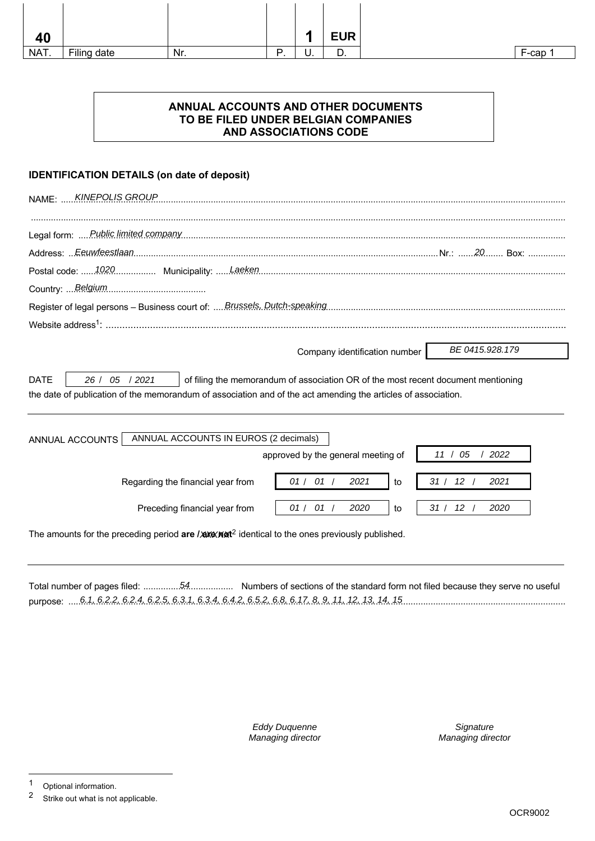| 40   |             |     |          | п  | <b>EUR</b> |
|------|-------------|-----|----------|----|------------|
| NAT. | Filing date | Nr. | D<br>. . | υ. | 宀<br>υ.    |

# **ANNUAL ACCOUNTS AND OTHER DOCUMENTS TO BE FILED UNDER BELGIAN COMPANIES AND ASSOCIATIONS CODE**

# **IDENTIFICATION DETAILS (on date of deposit)**

| <b>KINEPOLIS GROUP</b><br><b>NAME: </b>                                                                                                                                                                                             |
|-------------------------------------------------------------------------------------------------------------------------------------------------------------------------------------------------------------------------------------|
|                                                                                                                                                                                                                                     |
|                                                                                                                                                                                                                                     |
|                                                                                                                                                                                                                                     |
|                                                                                                                                                                                                                                     |
|                                                                                                                                                                                                                                     |
| BE 0415.928.179<br>Company identification number                                                                                                                                                                                    |
| <b>DATE</b><br>26 / 05 / 2021<br>of filing the memorandum of association OR of the most recent document mentioning<br>the date of publication of the memorandum of association and of the act amending the articles of association. |
| ANNUAL ACCOUNTS IN EUROS (2 decimals)<br>ANNUAL ACCOUNTS<br>approved by the general meeting of<br>11 / 05<br>2022                                                                                                                   |
| 01 / 01 /<br>31 / 12<br>2021<br>2021<br>Regarding the financial year from<br>to                                                                                                                                                     |
| 01 / 01 /<br>12 <sup>7</sup><br>2020<br>31/<br>2020<br>Preceding financial year from<br>to                                                                                                                                          |
| The amounts for the preceding period are / and Yard dentical to the ones previously published.                                                                                                                                      |

Total number of pages filed: .................................... Numbers of sections of the standard form not filed because they serve no useful 54 purpose: ....................................................................................................................................................................................................... 6.1, 6.2.2, 6.2.4, 6.2.5, 6.3.1, 6.3.4, 6.4.2, 6.5.2, 6.8, 6.17, 8, 9, 11, 12, 13, 14, 15

> Eddy Duquenne Managing director

**Signature** Managing director

<sup>1</sup> Optional information.<br>2 Strike out what is not

Strike out what is not applicable.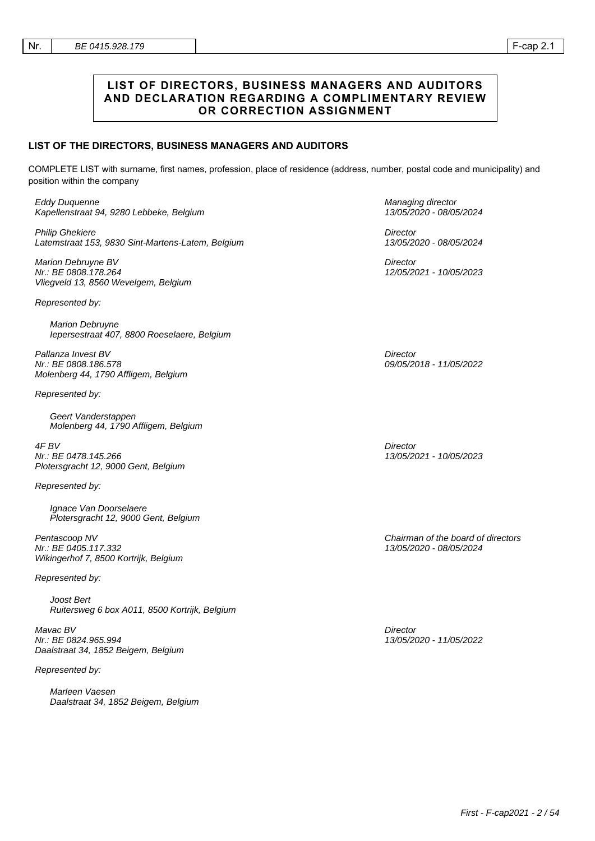## **LIST OF DIRECTORS, BUSINESS MANAGERS AND AUDITORS AND DECLARATION REGARDING A COMPLIMENTARY REVIEW OR CORRECTION ASSIGNMENT**

## **LIST OF THE DIRECTORS, BUSINESS MANAGERS AND AUDITORS**

COMPLETE LIST with surname, first names, profession, place of residence (address, number, postal code and municipality) and position within the company

Eddy Duquenne Kapellenstraat 94, 9280 Lebbeke, Belgium

Philip Ghekiere Latemstraat 153, 9830 Sint-Martens-Latem, Belgium

Marion Debruyne BV Nr.: BE 0808.178.264 Vliegveld 13, 8560 Wevelgem, Belgium

Represented by:

Marion Debruyne Iepersestraat 407, 8800 Roeselaere, Belgium

Pallanza Invest BV Nr.: BE 0808.186.578 Molenberg 44, 1790 Affligem, Belgium

Represented by:

Geert Vanderstappen Molenberg 44, 1790 Affligem, Belgium

4F BV Nr.: BE 0478.145.266 Plotersgracht 12, 9000 Gent, Belgium

Represented by:

Ignace Van Doorselaere Plotersgracht 12, 9000 Gent, Belgium

Pentascoop NV Nr.: BE 0405.117.332 Wikingerhof 7, 8500 Kortrijk, Belgium

Represented by:

Joost Bert Ruitersweg 6 box A011, 8500 Kortrijk, Belgium

Mavac BV Nr.: BE 0824.965.994 Daalstraat 34, 1852 Beigem, Belgium

Represented by:

Marleen Vaesen Daalstraat 34, 1852 Beigem, Belgium Managing director 13/05/2020 - 08/05/2024

**Director** 13/05/2020 - 08/05/2024

**Director** 12/05/2021 - 10/05/2023

**Director** 09/05/2018 - 11/05/2022

**Director** 13/05/2021 - 10/05/2023

Chairman of the board of directors 13/05/2020 - 08/05/2024

**Director** 13/05/2020 - 11/05/2022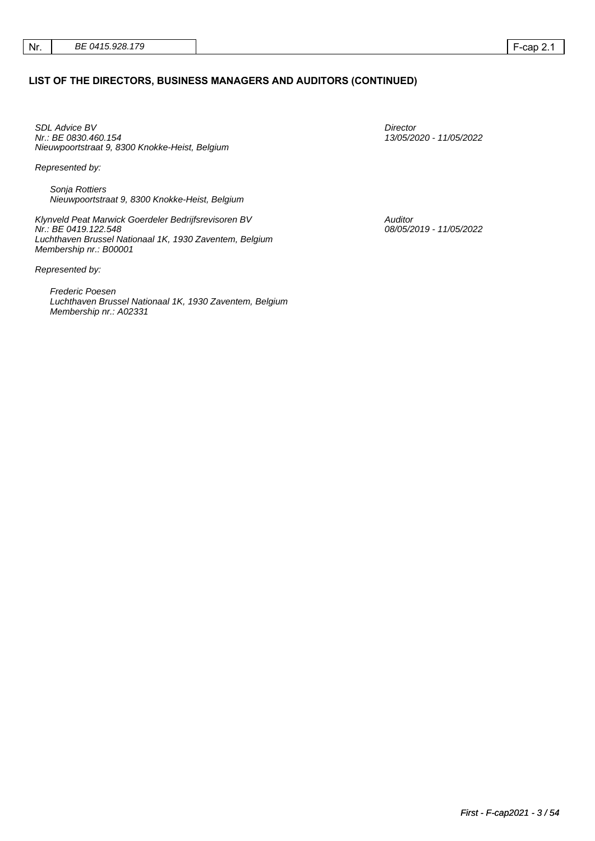## **LIST OF THE DIRECTORS, BUSINESS MANAGERS AND AUDITORS (CONTINUED)**

SDL Advice BV Nr.: BE 0830.460.154 Nieuwpoortstraat 9, 8300 Knokke-Heist, Belgium

Represented by:

Sonja Rottiers Nieuwpoortstraat 9, 8300 Knokke-Heist, Belgium

Klynveld Peat Marwick Goerdeler Bedrijfsrevisoren BV Nr.: BE 0419.122.548 Luchthaven Brussel Nationaal 1K, 1930 Zaventem, Belgium Membership nr.: B00001

Represented by:

Frederic Poesen Luchthaven Brussel Nationaal 1K, 1930 Zaventem, Belgium Membership nr.: A02331

**Director** 13/05/2020 - 11/05/2022

Auditor 08/05/2019 - 11/05/2022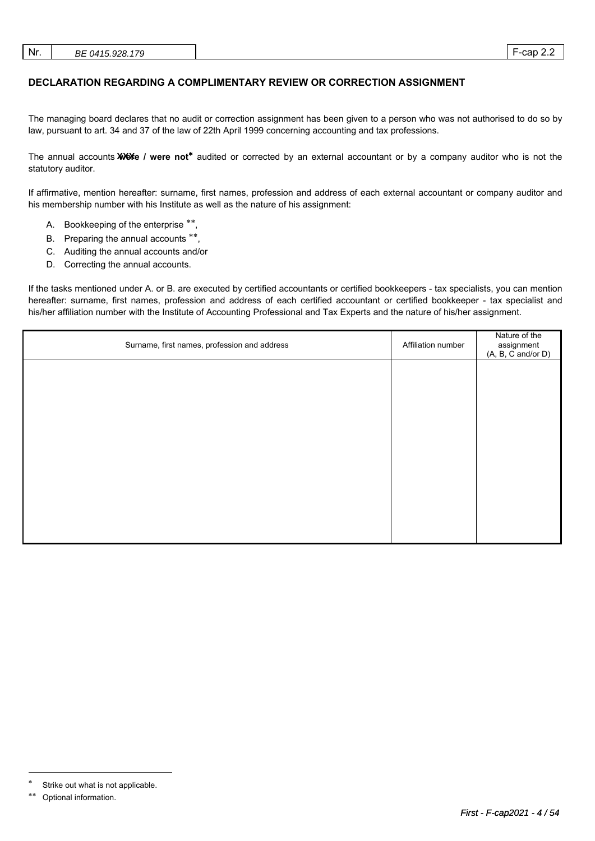| Nr. | BE 0415.928.179<br>_____ |  | cap<br><u>.</u> |  |
|-----|--------------------------|--|-----------------|--|
|-----|--------------------------|--|-----------------|--|

## **DECLARATION REGARDING A COMPLIMENTARY REVIEW OR CORRECTION ASSIGNMENT**

The managing board declares that no audit or correction assignment has been given to a person who was not authorised to do so by law, pursuant to art. 34 and 37 of the law of 22th April 1999 concerning accounting and tax professions.

The annual accounts **XXX** / were not<sup>\*</sup> audited or corrected by an external accountant or by a company auditor who is not the statutory auditor.

If affirmative, mention hereafter: surname, first names, profession and address of each external accountant or company auditor and his membership number with his Institute as well as the nature of his assignment:

- A. Bookkeeping of the enterprise \*\*,
- B. Preparing the annual accounts \*\*,
- C. Auditing the annual accounts and/or
- D. Correcting the annual accounts.

If the tasks mentioned under A. or B. are executed by certified accountants or certified bookkeepers - tax specialists, you can mention hereafter: surname, first names, profession and address of each certified accountant or certified bookkeeper - tax specialist and his/her affiliation number with the Institute of Accounting Professional and Tax Experts and the nature of his/her assignment.

| Surname, first names, profession and address | Affiliation number | Nature of the<br>assignment<br>(A, B, C and/or D) |
|----------------------------------------------|--------------------|---------------------------------------------------|
|                                              |                    |                                                   |
|                                              |                    |                                                   |
|                                              |                    |                                                   |
|                                              |                    |                                                   |
|                                              |                    |                                                   |
|                                              |                    |                                                   |
|                                              |                    |                                                   |

 $\overline{a}$ 

Strike out what is not applicable.

Optional information.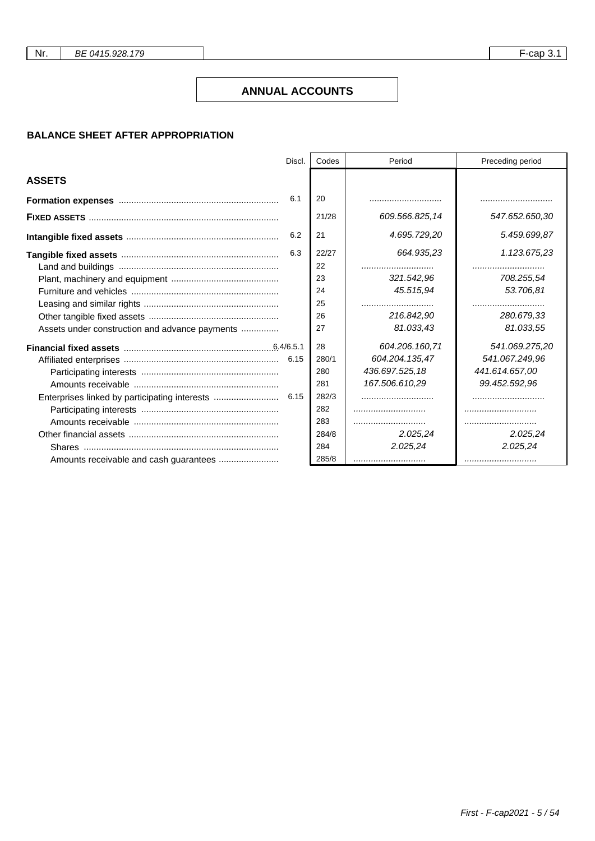## **ANNUAL ACCOUNTS**

# **BALANCE SHEET AFTER APPROPRIATION**

|                                                | Discl. | Codes | Period         | Preceding period |
|------------------------------------------------|--------|-------|----------------|------------------|
| <b>ASSETS</b>                                  |        |       |                |                  |
|                                                | 6.1    | 20    |                |                  |
|                                                |        | 21/28 | 609.566.825,14 | 547.652.650,30   |
|                                                | 6.2    | 21    | 4.695.729,20   | 5.459.699,87     |
|                                                | 6.3    | 22/27 | 664.935.23     | 1.123.675,23     |
|                                                |        | 22    |                |                  |
|                                                |        | 23    | 321.542.96     | 708.255.54       |
|                                                |        | 24    | 45.515,94      | 53.706,81        |
|                                                |        | 25    |                |                  |
|                                                |        | 26    | 216.842.90     | 280.679.33       |
| Assets under construction and advance payments |        | 27    | 81.033.43      | 81.033,55        |
|                                                |        | 28    | 604.206.160.71 | 541.069.275,20   |
|                                                |        | 280/1 | 604.204.135,47 | 541.067.249,96   |
|                                                |        | 280   | 436.697.525,18 | 441.614.657,00   |
|                                                |        | 281   | 167.506.610,29 | 99.452.592,96    |
|                                                |        | 282/3 |                |                  |
|                                                |        | 282   |                |                  |
|                                                |        | 283   |                |                  |
|                                                |        | 284/8 | 2.025,24       | 2.025,24         |
|                                                |        | 284   | 2.025,24       | 2.025,24         |
|                                                |        | 285/8 |                |                  |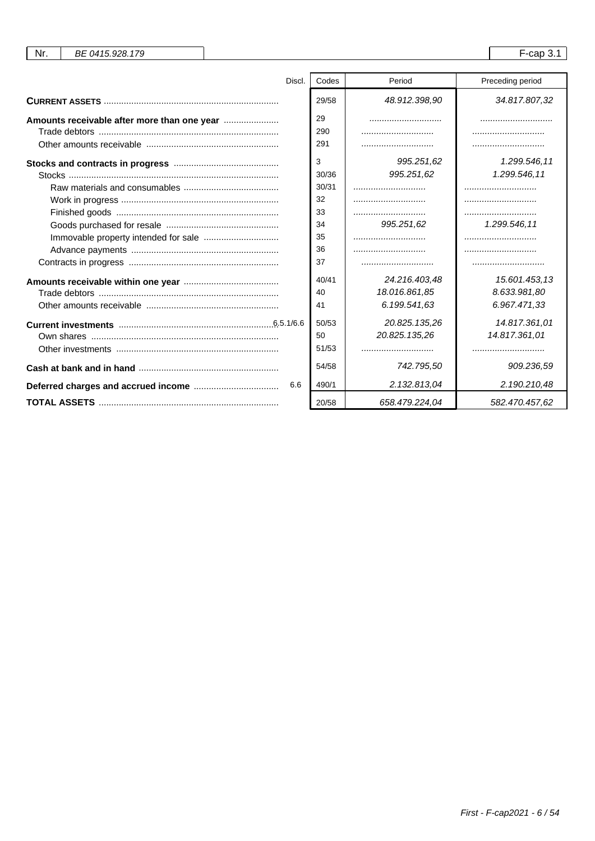| Nr.<br>BE 0415.928.179 |       |                | $F$ -cap 3.1     |
|------------------------|-------|----------------|------------------|
|                        |       |                |                  |
| Discl.                 | Codes | Period         | Preceding period |
|                        | 29/58 | 48.912.398,90  | 34.817.807,32    |
|                        | 29    |                |                  |
|                        | 290   |                |                  |
|                        | 291   |                |                  |
|                        | 3     | 995.251,62     | 1.299.546,11     |
|                        | 30/36 | 995.251,62     | 1.299.546,11     |
|                        | 30/31 |                |                  |
|                        | 32    |                |                  |
|                        | 33    |                |                  |
|                        | 34    | 995.251,62     | 1.299.546,11     |
|                        | 35    |                |                  |
|                        | 36    |                |                  |
|                        | 37    |                |                  |
|                        | 40/41 | 24.216.403.48  | 15.601.453.13    |
|                        | 40    | 18.016.861,85  | 8.633.981,80     |
|                        | 41    | 6.199.541,63   | 6.967.471,33     |
|                        | 50/53 | 20.825.135,26  | 14.817.361,01    |
|                        | 50    | 20.825.135,26  | 14.817.361,01    |
|                        | 51/53 |                |                  |
|                        | 54/58 | 742.795,50     | 909.236,59       |
| 6.6                    | 490/1 | 2.132.813.04   | 2.190.210,48     |
|                        | 20/58 | 658.479.224,04 | 582.470.457,62   |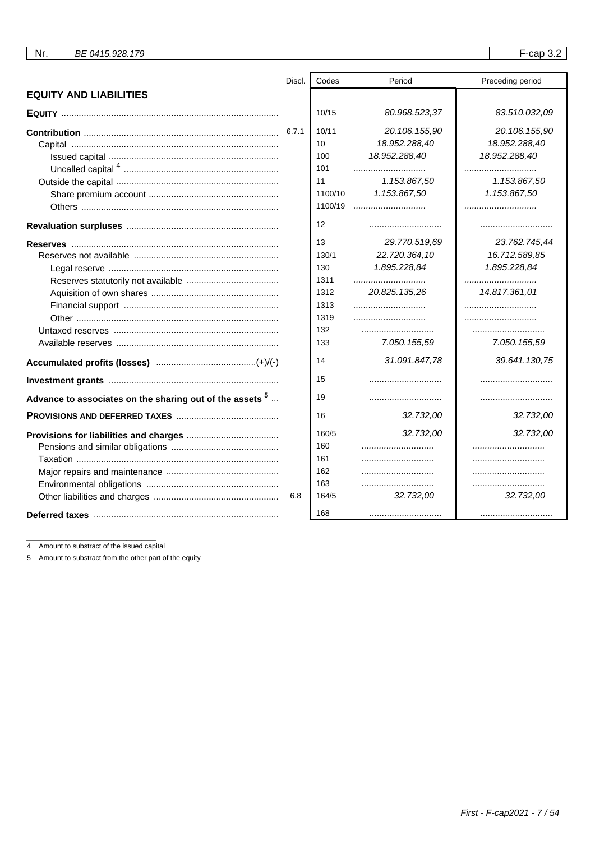| BE 0415.928.179 |
|-----------------|
|-----------------|

 $\overline{\phantom{a}}$ 

|                                                                  | Discl. | Codes   | Period        | Preceding period |
|------------------------------------------------------------------|--------|---------|---------------|------------------|
| <b>EQUITY AND LIABILITIES</b>                                    |        |         |               |                  |
|                                                                  |        | 10/15   | 80.968.523,37 | 83.510.032,09    |
|                                                                  |        | 10/11   | 20.106.155,90 | 20.106.155,90    |
|                                                                  |        | 10      | 18.952.288,40 | 18.952.288,40    |
|                                                                  |        | 100     | 18.952.288,40 | 18.952.288,40    |
|                                                                  |        | 101     |               |                  |
|                                                                  |        | 11      | 1.153.867,50  | 1.153.867,50     |
|                                                                  |        | 1100/10 | 1.153.867,50  | 1.153.867,50     |
|                                                                  |        | 1100/19 |               |                  |
|                                                                  |        | 12      |               |                  |
|                                                                  |        | 13      | 29.770.519,69 | 23.762.745,44    |
|                                                                  |        | 130/1   | 22.720.364,10 | 16.712.589,85    |
|                                                                  |        | 130     | 1.895.228,84  | 1.895.228,84     |
|                                                                  |        | 1311    |               |                  |
|                                                                  |        | 1312    | 20.825.135.26 | 14.817.361.01    |
|                                                                  |        | 1313    |               |                  |
|                                                                  |        | 1319    |               |                  |
|                                                                  |        | 132     |               |                  |
|                                                                  |        | 133     | 7.050.155,59  | 7.050.155,59     |
|                                                                  |        | 14      | 31.091.847,78 | 39.641.130,75    |
|                                                                  |        | 15      |               |                  |
| Advance to associates on the sharing out of the assets $5 \dots$ |        | 19      |               |                  |
|                                                                  |        | 16      | 32.732,00     | 32.732,00        |
|                                                                  |        | 160/5   | 32.732,00     | 32.732,00        |
|                                                                  |        | 160     |               |                  |
|                                                                  |        | 161     |               |                  |
|                                                                  |        | 162     |               |                  |
|                                                                  |        | 163     |               |                  |
|                                                                  | 6.8    | 164/5   | 32.732,00     | 32.732,00        |
|                                                                  |        | 168     |               |                  |

4 Amount to substract of the issued capital

5 Amount to substract from the other part of the equity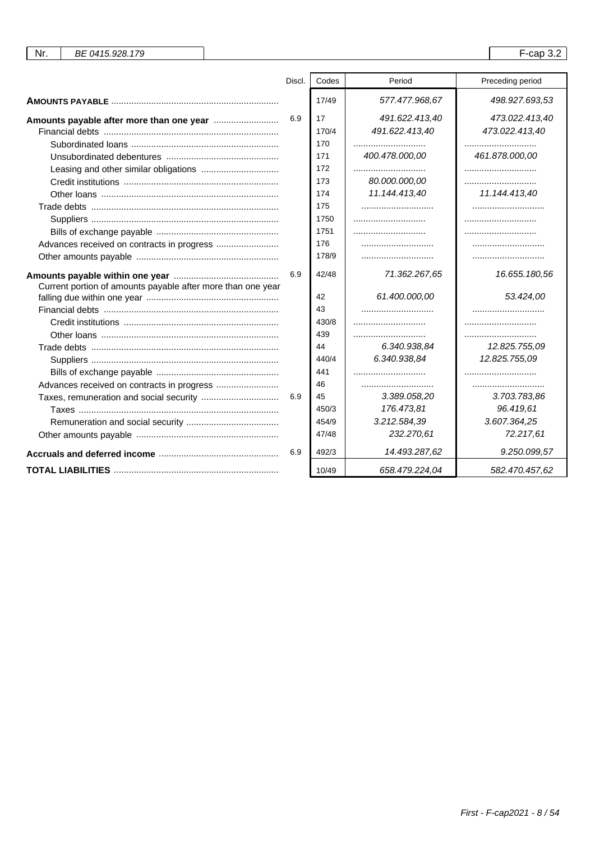| Nr.<br>BE 0415.928.179                                      |        |       |                | $F$ -cap 3.2     |
|-------------------------------------------------------------|--------|-------|----------------|------------------|
|                                                             |        |       |                |                  |
|                                                             | Discl. | Codes | Period         | Preceding period |
|                                                             |        | 17/49 | 577.477.968,67 | 498.927.693,53   |
|                                                             | 6.9    | 17    | 491.622.413,40 | 473.022.413,40   |
|                                                             |        | 170/4 | 491.622.413,40 | 473.022.413,40   |
|                                                             |        | 170   |                |                  |
|                                                             |        | 171   | 400.478.000,00 | 461.878.000,00   |
|                                                             |        | 172   |                |                  |
|                                                             |        | 173   | 80.000.000,00  |                  |
|                                                             |        | 174   | 11.144.413,40  | 11.144.413,40    |
|                                                             |        | 175   |                |                  |
|                                                             |        | 1750  |                |                  |
|                                                             |        | 1751  |                |                  |
|                                                             |        | 176   |                |                  |
|                                                             |        | 178/9 |                |                  |
|                                                             | 6.9    | 42/48 | 71.362.267,65  | 16.655.180,56    |
| Current portion of amounts payable after more than one year |        |       |                |                  |
|                                                             |        | 42    | 61.400.000,00  | 53.424,00        |
|                                                             |        | 43    |                |                  |
|                                                             |        | 430/8 |                |                  |
|                                                             |        | 439   |                |                  |
|                                                             |        | 44    | 6.340.938,84   | 12.825.755,09    |
|                                                             |        | 440/4 | 6.340.938.84   | 12.825.755.09    |
|                                                             |        | 441   |                |                  |
|                                                             |        | 46    |                |                  |
|                                                             | 6.9    | 45    | 3.389.058,20   | 3.703.783,86     |
|                                                             |        | 450/3 | 176.473,81     | 96.419,61        |
|                                                             |        | 454/9 | 3.212.584,39   | 3.607.364,25     |
|                                                             |        | 47/48 | 232.270,61     | 72.217,61        |
|                                                             | 6.9    | 492/3 | 14.493.287,62  | 9.250.099,57     |
|                                                             |        | 10/49 | 658.479.224,04 | 582.470.457,62   |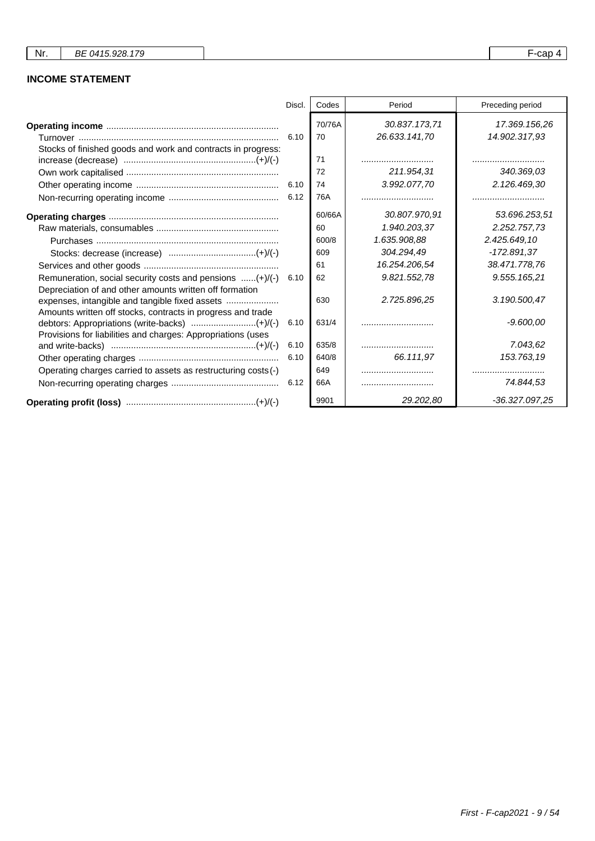# **INCOME STATEMENT**

|                                                                                                                     | Discl. | Codes        | Period                         | Preceding period               |
|---------------------------------------------------------------------------------------------------------------------|--------|--------------|--------------------------------|--------------------------------|
| Stocks of finished goods and work and contracts in progress:                                                        | 6.10   | 70/76A<br>70 | 30.837.173,71<br>26.633.141,70 | 17.369.156,26<br>14.902.317,93 |
|                                                                                                                     |        | 71           |                                |                                |
|                                                                                                                     |        | 72           | 211.954,31                     | 340.369,03                     |
|                                                                                                                     | 6.10   | 74           | 3.992.077,70                   | 2.126.469,30                   |
|                                                                                                                     |        | 76A          |                                |                                |
|                                                                                                                     |        | 60/66A       | 30.807.970.91                  | 53.696.253,51                  |
|                                                                                                                     |        | 60           | 1.940.203,37                   | 2.252.757,73                   |
|                                                                                                                     |        | 600/8        | 1.635.908.88                   | 2.425.649,10                   |
|                                                                                                                     |        | 609          | 304.294.49                     | $-172.891.37$                  |
|                                                                                                                     |        | 61           | 16.254.206,54                  | 38.471.778,76                  |
| Remuneration, social security costs and pensions (+)/(-)<br>Depreciation of and other amounts written off formation | 6.10   | 62           | 9.821.552,78                   | 9.555.165,21                   |
| Amounts written off stocks, contracts in progress and trade                                                         |        | 630          | 2.725.896,25                   | 3.190.500,47                   |
| Provisions for liabilities and charges: Appropriations (uses                                                        | 6.10   | 631/4        |                                | $-9.600.00$                    |
|                                                                                                                     | 6.10   | 635/8        |                                | 7.043,62                       |
|                                                                                                                     | 6.10   | 640/8        | 66.111.97                      | 153.763,19                     |
| Operating charges carried to assets as restructuring costs (-)                                                      |        | 649          |                                |                                |
|                                                                                                                     | 6.12   | 66A          |                                | 74.844,53                      |
|                                                                                                                     |        | 9901         | 29.202,80                      | -36.327.097,25                 |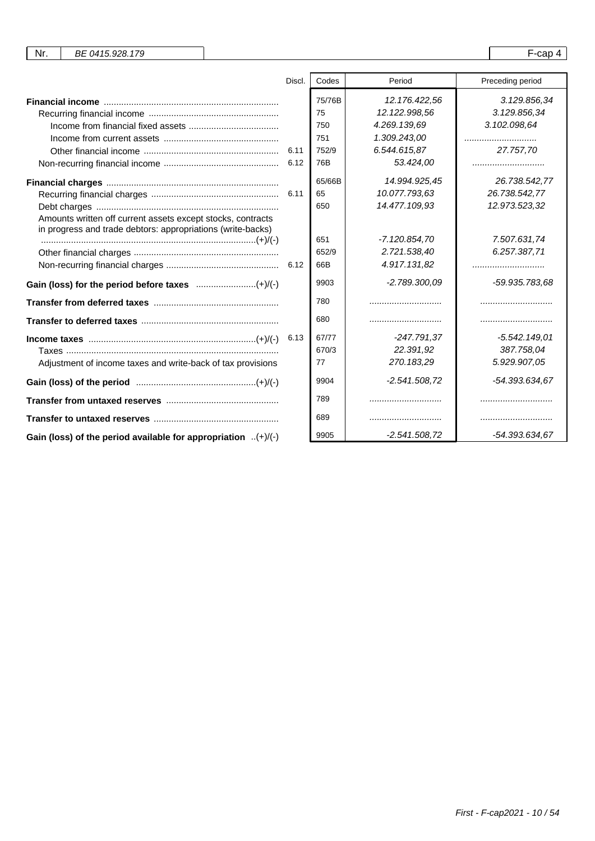| Nr. | BE 0415.928.179 |  | $-0.25$<br>cau |  |
|-----|-----------------|--|----------------|--|
|-----|-----------------|--|----------------|--|

|                                                                                                                            | Discl.       | Codes                                      | Period                                                                                      | Preceding period                                              |
|----------------------------------------------------------------------------------------------------------------------------|--------------|--------------------------------------------|---------------------------------------------------------------------------------------------|---------------------------------------------------------------|
|                                                                                                                            | 6.11<br>6.12 | 75/76B<br>75<br>750<br>751<br>752/9<br>76B | 12.176.422.56<br>12.122.998,56<br>4.269.139.69<br>1.309.243,00<br>6.544.615,87<br>53.424.00 | 3.129.856,34<br>3.129.856.34<br>3.102.098.64<br>27.757.70<br> |
| Amounts written off current assets except stocks, contracts<br>in progress and trade debtors: appropriations (write-backs) |              | 65/66B<br>65<br>650                        | 14.994.925,45<br>10.077.793,63<br>14.477.109,93                                             | 26.738.542,77<br>26.738.542,77<br>12.973.523,32               |
|                                                                                                                            |              | 651<br>652/9<br>66B<br>9903                | -7.120.854,70<br>2.721.538,40<br>4.917.131.82<br>$-2.789.300.09$                            | 7.507.631,74<br>6.257.387.71<br><br>-59.935.783,68            |
|                                                                                                                            |              | 780                                        |                                                                                             |                                                               |
|                                                                                                                            |              | 680                                        |                                                                                             |                                                               |
| $Income taxes                  (+) / (-)$<br>Adjustment of income taxes and write-back of tax provisions                   | 6.13         | 67/77<br>670/3<br>77                       | -247.791.37<br>22.391,92<br>270.183,29                                                      | -5.542.149.01<br>387.758,04<br>5.929.907,05                   |
|                                                                                                                            |              | 9904                                       | $-2.541.508,72$                                                                             | -54.393.634,67                                                |
|                                                                                                                            |              | 789                                        |                                                                                             |                                                               |
|                                                                                                                            |              | 689                                        |                                                                                             |                                                               |
| Gain (loss) of the period available for appropriation $(+)/(-)$                                                            |              | 9905                                       | $-2.541.508.72$                                                                             | -54.393.634,67                                                |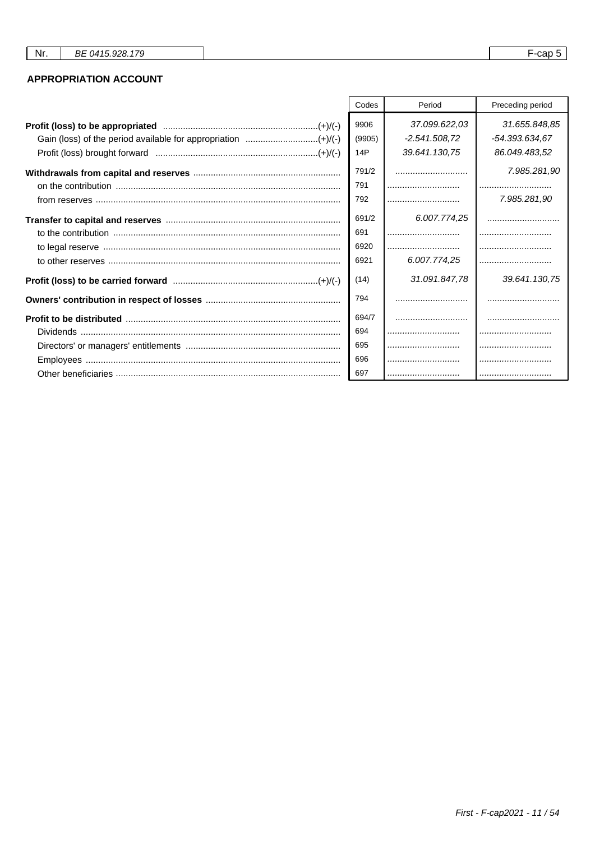# **APPROPRIATION ACCOUNT**

| Codes<br>Period |                                  | Preceding period                |
|-----------------|----------------------------------|---------------------------------|
| 9906<br>(9905)  | 37.099.622,03<br>$-2.541.508.72$ | 31.655.848,85<br>-54.393.634,67 |
| 14P             | 39.641.130.75                    | 86.049.483,52                   |
| 791/2           |                                  | 7.985.281,90                    |
| 791             |                                  |                                 |
| 792             |                                  | 7.985.281,90                    |
| 691/2           | 6.007.774,25                     |                                 |
| 691             |                                  |                                 |
| 6920            |                                  |                                 |
| 6921            | 6.007.774,25                     |                                 |
| (14)            | 31.091.847,78                    | 39.641.130.75                   |
| 794             |                                  |                                 |
| 694/7           |                                  |                                 |
| 694             |                                  |                                 |
| 695             |                                  |                                 |
| 696             |                                  |                                 |
| 697             |                                  |                                 |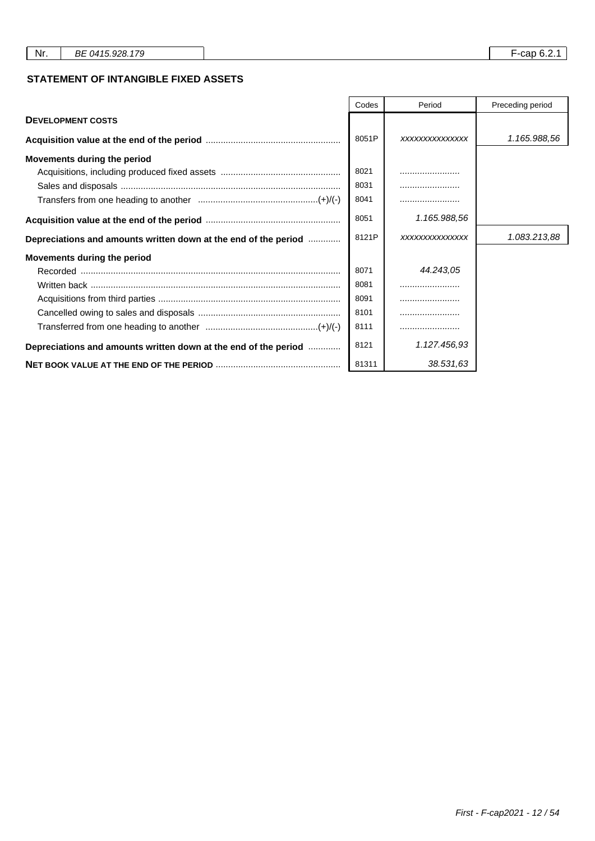## **STATEMENT OF INTANGIBLE FIXED ASSETS**

|                                                                 | Codes<br>Period |                 | Preceding period |
|-----------------------------------------------------------------|-----------------|-----------------|------------------|
| <b>DEVELOPMENT COSTS</b>                                        |                 |                 |                  |
|                                                                 | 8051P           | XXXXXXXXXXXXXXX | 1.165.988,56     |
| Movements during the period                                     |                 |                 |                  |
|                                                                 | 8021            |                 |                  |
|                                                                 | 8031            |                 |                  |
|                                                                 | 8041            |                 |                  |
|                                                                 | 8051            | 1.165.988,56    |                  |
| Depreciations and amounts written down at the end of the period | 8121P           | XXXXXXXXXXXXXXX | 1.083.213,88     |
| Movements during the period                                     |                 |                 |                  |
|                                                                 | 8071            | 44.243.05       |                  |
|                                                                 | 8081            |                 |                  |
|                                                                 | 8091            |                 |                  |
|                                                                 | 8101            |                 |                  |
|                                                                 | 8111            |                 |                  |
| Depreciations and amounts written down at the end of the period | 8121            | 1.127.456,93    |                  |
|                                                                 | 81311           | 38.531,63       |                  |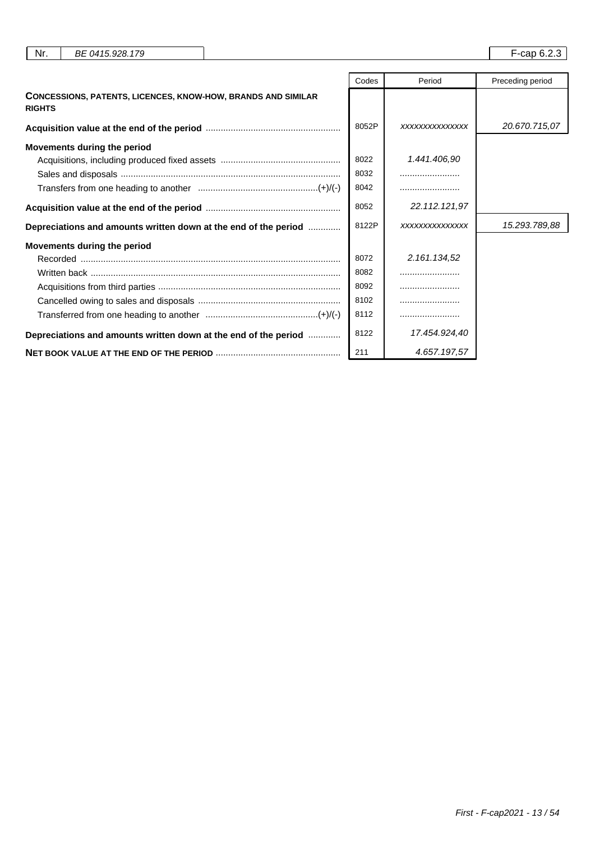| Nr.           | BE 0415.928.179                                                     |       |                | F-cap 6.2.3      |
|---------------|---------------------------------------------------------------------|-------|----------------|------------------|
|               |                                                                     | Codes | Period         | Preceding period |
| <b>RIGHTS</b> | <b>CONCESSIONS, PATENTS, LICENCES, KNOW-HOW, BRANDS AND SIMILAR</b> |       |                |                  |
|               |                                                                     | 8052P | XXXXXXXXXXXXXX | 20.670.715,07    |
|               | Movements during the period                                         |       |                |                  |
|               |                                                                     | 8022  | 1.441.406,90   |                  |
|               |                                                                     | 8032  |                |                  |
|               |                                                                     | 8042  |                |                  |
|               |                                                                     | 8052  | 22.112.121.97  |                  |
|               | Depreciations and amounts written down at the end of the period     | 8122P | XXXXXXXXXXXXXX | 15.293.789,88    |
|               | Movements during the period                                         |       |                |                  |
|               |                                                                     | 8072  | 2.161.134,52   |                  |
|               |                                                                     | 8082  |                |                  |
|               |                                                                     | 8092  |                |                  |
|               |                                                                     | 8102  |                |                  |
|               |                                                                     | 8112  |                |                  |
|               | Depreciations and amounts written down at the end of the period     | 8122  | 17.454.924,40  |                  |
|               |                                                                     | 211   | 4.657.197.57   |                  |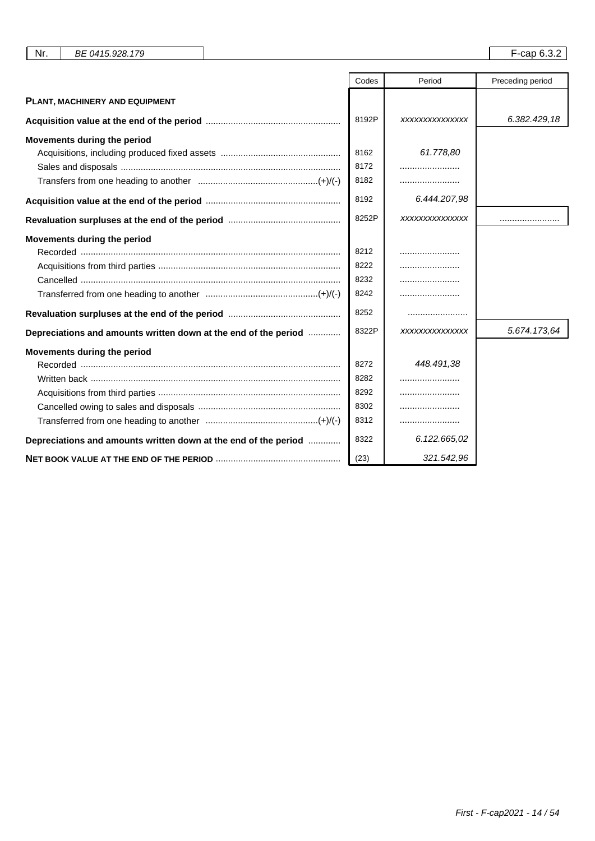| Nr.<br>BE 0415.928.179                                          |       |                 | $F$ -cap 6.3.2   |
|-----------------------------------------------------------------|-------|-----------------|------------------|
|                                                                 |       |                 |                  |
|                                                                 | Codes | Period          | Preceding period |
| PLANT, MACHINERY AND EQUIPMENT                                  |       |                 |                  |
|                                                                 | 8192P | XXXXXXXXXXXXXX  | 6.382.429,18     |
| Movements during the period                                     |       |                 |                  |
|                                                                 | 8162  | 61.778.80       |                  |
|                                                                 | 8172  |                 |                  |
|                                                                 | 8182  |                 |                  |
|                                                                 | 8192  | 6.444.207.98    |                  |
|                                                                 | 8252P | XXXXXXXXXXXXXX  |                  |
| Movements during the period                                     |       |                 |                  |
|                                                                 | 8212  |                 |                  |
|                                                                 | 8222  |                 |                  |
|                                                                 | 8232  |                 |                  |
|                                                                 | 8242  |                 |                  |
|                                                                 | 8252  |                 |                  |
| Depreciations and amounts written down at the end of the period | 8322P | XXXXXXXXXXXXXXX | 5.674.173,64     |
| Movements during the period                                     |       |                 |                  |
|                                                                 | 8272  | 448.491,38      |                  |
| Written back ……………………………………………………………………………………                   | 8282  |                 |                  |
|                                                                 | 8292  |                 |                  |
|                                                                 | 8302  |                 |                  |
|                                                                 | 8312  |                 |                  |
| Depreciations and amounts written down at the end of the period | 8322  | 6.122.665,02    |                  |
|                                                                 | (23)  | 321.542,96      |                  |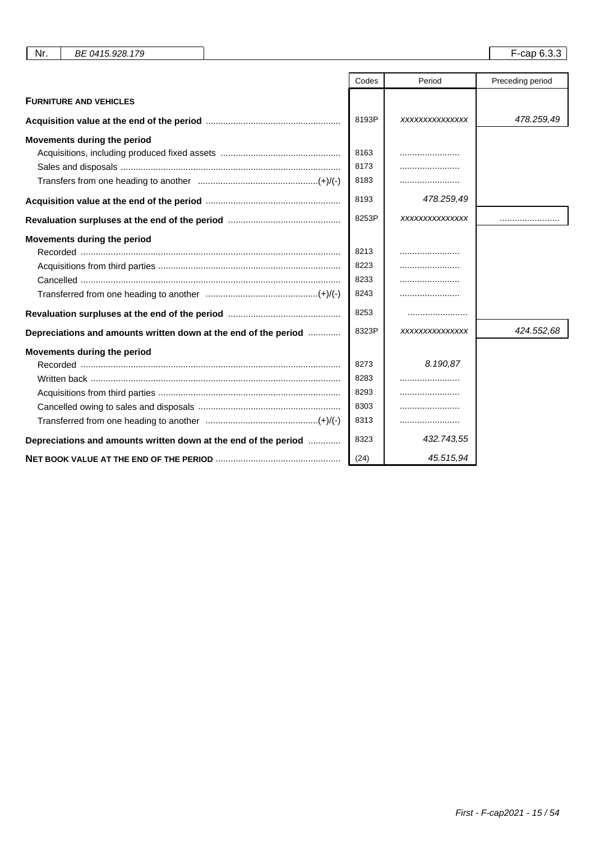| Nr.<br>BE 0415.928.179                                          |       |                 | F-cap 6.3.3      |
|-----------------------------------------------------------------|-------|-----------------|------------------|
|                                                                 |       |                 |                  |
|                                                                 | Codes | Period          | Preceding period |
| <b>FURNITURE AND VEHICLES</b>                                   |       |                 |                  |
|                                                                 | 8193P | XXXXXXXXXXXXXX  | 478.259,49       |
| Movements during the period                                     |       |                 |                  |
|                                                                 | 8163  |                 |                  |
|                                                                 | 8173  |                 |                  |
|                                                                 | 8183  |                 |                  |
|                                                                 | 8193  | 478.259,49      |                  |
|                                                                 | 8253P | XXXXXXXXXXXXXX  |                  |
| Movements during the period                                     |       |                 |                  |
|                                                                 | 8213  |                 |                  |
|                                                                 | 8223  |                 |                  |
|                                                                 | 8233  |                 |                  |
|                                                                 | 8243  |                 |                  |
|                                                                 | 8253  |                 |                  |
| Depreciations and amounts written down at the end of the period | 8323P | XXXXXXXXXXXXXXX | 424.552,68       |
| Movements during the period                                     |       |                 |                  |
|                                                                 | 8273  | 8.190.87        |                  |
|                                                                 | 8283  |                 |                  |
|                                                                 | 8293  |                 |                  |
|                                                                 | 8303  |                 |                  |
|                                                                 | 8313  |                 |                  |
| Depreciations and amounts written down at the end of the period | 8323  | 432.743,55      |                  |
|                                                                 | (24)  | 45.515,94       |                  |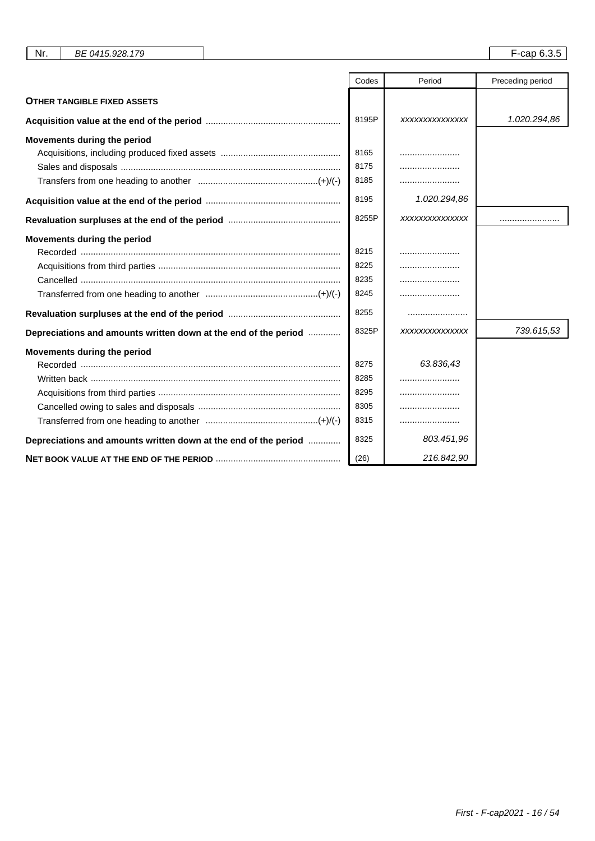| Nr.<br>BE 0415.928.179                                          |       |                | F-cap 6.3.5      |
|-----------------------------------------------------------------|-------|----------------|------------------|
|                                                                 |       |                |                  |
|                                                                 | Codes | Period         | Preceding period |
| <b>OTHER TANGIBLE FIXED ASSETS</b>                              |       |                |                  |
|                                                                 | 8195P | XXXXXXXXXXXXXX | 1.020.294,86     |
| Movements during the period                                     |       |                |                  |
|                                                                 | 8165  |                |                  |
|                                                                 | 8175  |                |                  |
|                                                                 | 8185  |                |                  |
|                                                                 | 8195  | 1.020.294,86   |                  |
|                                                                 | 8255P | XXXXXXXXXXXXXX |                  |
| Movements during the period                                     |       |                |                  |
|                                                                 | 8215  |                |                  |
|                                                                 | 8225  |                |                  |
|                                                                 | 8235  |                |                  |
|                                                                 | 8245  |                |                  |
|                                                                 | 8255  |                |                  |
| Depreciations and amounts written down at the end of the period | 8325P | XXXXXXXXXXXXXX | 739.615,53       |
| Movements during the period                                     |       |                |                  |
|                                                                 | 8275  | 63.836,43      |                  |
| Written back ……………………………………………………………………………………                   | 8285  |                |                  |
|                                                                 | 8295  |                |                  |
|                                                                 | 8305  |                |                  |
|                                                                 | 8315  |                |                  |
| Depreciations and amounts written down at the end of the period | 8325  | 803.451,96     |                  |
|                                                                 | (26)  | 216.842,90     |                  |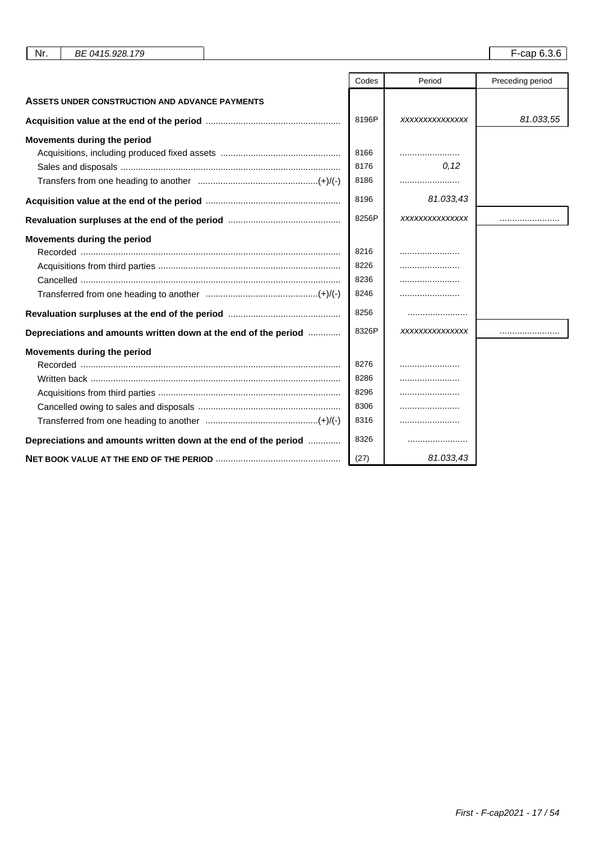|                                                                 | Codes | Period         | Preceding period |
|-----------------------------------------------------------------|-------|----------------|------------------|
| <b>ASSETS UNDER CONSTRUCTION AND ADVANCE PAYMENTS</b>           |       |                |                  |
|                                                                 | 8196P | XXXXXXXXXXXXXX | 81.033,55        |
| Movements during the period                                     |       |                |                  |
|                                                                 | 8166  |                |                  |
|                                                                 | 8176  | 0,12           |                  |
|                                                                 | 8186  |                |                  |
|                                                                 | 8196  | 81.033,43      |                  |
|                                                                 | 8256P | XXXXXXXXXXXXXX |                  |
| Movements during the period                                     |       |                |                  |
|                                                                 | 8216  |                |                  |
|                                                                 | 8226  |                |                  |
|                                                                 | 8236  |                |                  |
|                                                                 | 8246  |                |                  |
|                                                                 | 8256  |                |                  |
| Depreciations and amounts written down at the end of the period | 8326P | XXXXXXXXXXXXXX |                  |
| Movements during the period                                     |       |                |                  |
|                                                                 | 8276  |                |                  |
|                                                                 | 8286  |                |                  |
|                                                                 | 8296  |                |                  |
|                                                                 | 8306  |                |                  |
|                                                                 | 8316  |                |                  |
| Depreciations and amounts written down at the end of the period | 8326  |                |                  |
|                                                                 | (27)  | 81.033,43      |                  |

Nr. BE 0415.928.179 **F-cap 6.3.6**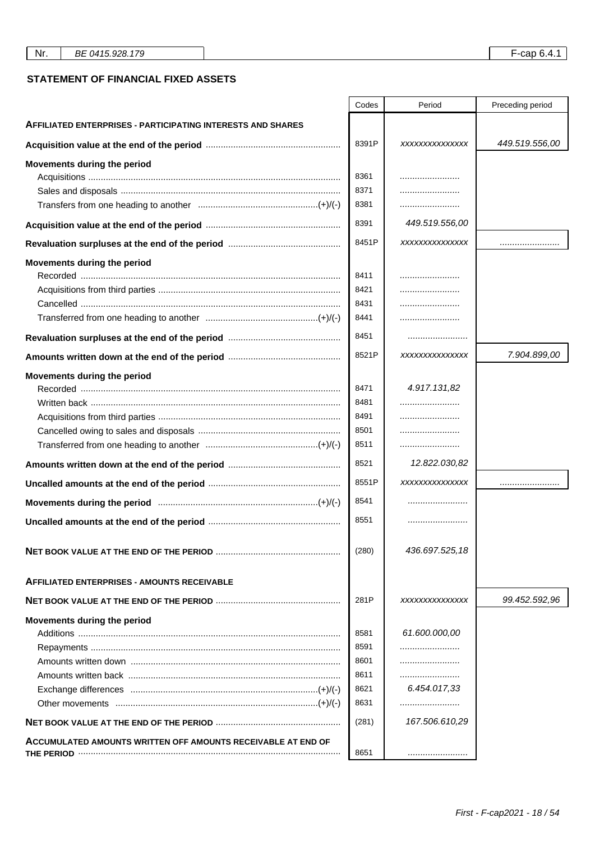## **STATEMENT OF FINANCIAL FIXED ASSETS**

|                                                                    | Codes | Period         | Preceding period |
|--------------------------------------------------------------------|-------|----------------|------------------|
| <b>AFFILIATED ENTERPRISES - PARTICIPATING INTERESTS AND SHARES</b> |       |                |                  |
|                                                                    | 8391P | XXXXXXXXXXXXXX | 449.519.556,00   |
| Movements during the period                                        |       |                |                  |
|                                                                    | 8361  |                |                  |
|                                                                    | 8371  |                |                  |
|                                                                    | 8381  |                |                  |
|                                                                    | 8391  | 449.519.556,00 |                  |
|                                                                    | 8451P | XXXXXXXXXXXXXX |                  |
| Movements during the period                                        |       |                |                  |
|                                                                    | 8411  |                |                  |
|                                                                    | 8421  |                |                  |
|                                                                    | 8431  |                |                  |
|                                                                    | 8441  |                |                  |
|                                                                    | 8451  |                |                  |
|                                                                    | 8521P | XXXXXXXXXXXXXX | 7.904.899,00     |
| Movements during the period                                        |       |                |                  |
|                                                                    | 8471  | 4.917.131,82   |                  |
|                                                                    | 8481  |                |                  |
|                                                                    | 8491  |                |                  |
|                                                                    | 8501  |                |                  |
|                                                                    | 8511  |                |                  |
|                                                                    | 8521  | 12.822.030,82  |                  |
|                                                                    | 8551P | XXXXXXXXXXXXXX |                  |
|                                                                    | 8541  |                |                  |
|                                                                    | 8551  |                |                  |
|                                                                    | (280) | 436.697.525,18 |                  |
| <b>AFFILIATED ENTERPRISES - AMOUNTS RECEIVABLE</b>                 |       |                |                  |
|                                                                    | 281P  | XXXXXXXXXXXXXX | 99.452.592,96    |
| Movements during the period                                        |       |                |                  |
|                                                                    | 8581  | 61.600.000,00  |                  |
|                                                                    | 8591  |                |                  |
|                                                                    | 8601  |                |                  |
|                                                                    | 8611  |                |                  |
|                                                                    | 8621  | 6.454.017,33   |                  |
|                                                                    | 8631  |                |                  |
|                                                                    | (281) | 167.506.610,29 |                  |
| ACCUMULATED AMOUNTS WRITTEN OFF AMOUNTS RECEIVABLE AT END OF       |       |                |                  |
|                                                                    | 8651  |                |                  |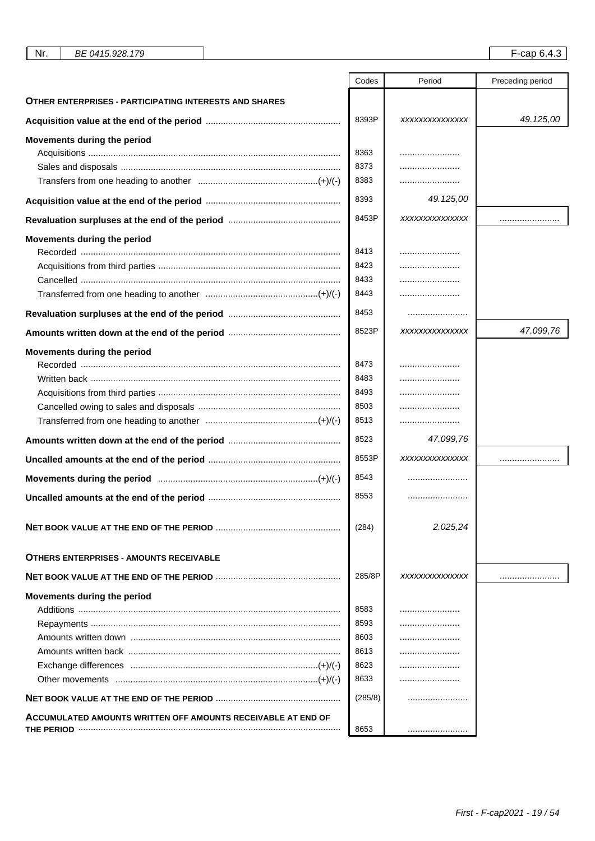| Nr. | BE 0415.928.179 |
|-----|-----------------|
|-----|-----------------|

|                                                               | Codes   | Period         | Preceding period |
|---------------------------------------------------------------|---------|----------------|------------------|
| <b>OTHER ENTERPRISES - PARTICIPATING INTERESTS AND SHARES</b> |         |                |                  |
|                                                               | 8393P   | XXXXXXXXXXXXXX | 49.125,00        |
| Movements during the period                                   |         |                |                  |
|                                                               | 8363    |                |                  |
|                                                               | 8373    |                |                  |
|                                                               | 8383    |                |                  |
|                                                               | 8393    | 49.125,00      |                  |
|                                                               | 8453P   | XXXXXXXXXXXXXX |                  |
| Movements during the period                                   |         |                |                  |
|                                                               | 8413    |                |                  |
|                                                               | 8423    |                |                  |
|                                                               | 8433    |                |                  |
|                                                               | 8443    |                |                  |
|                                                               | 8453    |                |                  |
|                                                               | 8523P   | XXXXXXXXXXXXXX | 47.099.76        |
| Movements during the period                                   |         |                |                  |
|                                                               | 8473    |                |                  |
| Written back ……………………………………………………………………………………                 | 8483    |                |                  |
|                                                               | 8493    |                |                  |
|                                                               | 8503    |                |                  |
|                                                               | 8513    |                |                  |
|                                                               | 8523    | 47.099,76      |                  |
|                                                               | 8553P   | XXXXXXXXXXXXXX |                  |
| Movements during the period manufacture manufacture (+)/(-)   | 8543    |                |                  |
|                                                               | 8553    |                |                  |
|                                                               | (284)   | 2.025,24       |                  |
| <b>OTHERS ENTERPRISES - AMOUNTS RECEIVABLE</b>                |         |                |                  |
|                                                               | 285/8P  | XXXXXXXXXXXXXX |                  |
| Movements during the period                                   |         |                |                  |
|                                                               | 8583    |                |                  |
|                                                               | 8593    |                |                  |
|                                                               | 8603    |                |                  |
|                                                               | 8613    |                |                  |
|                                                               | 8623    |                |                  |
|                                                               | 8633    |                |                  |
|                                                               | (285/8) |                |                  |
| ACCUMULATED AMOUNTS WRITTEN OFF AMOUNTS RECEIVABLE AT END OF  |         |                |                  |
|                                                               | 8653    |                |                  |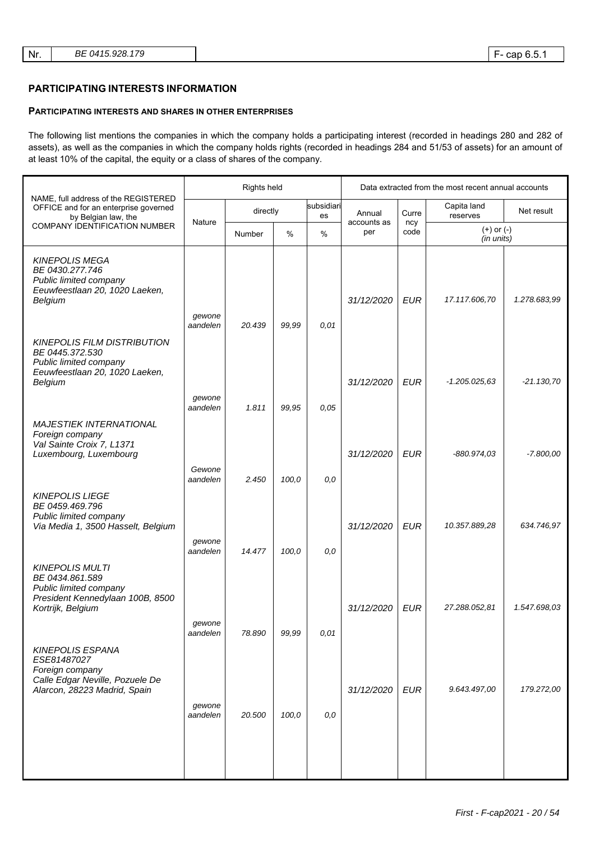## **PARTICIPATING INTERESTS INFORMATION**

#### **PARTICIPATING INTERESTS AND SHARES IN OTHER ENTERPRISES**

The following list mentions the companies in which the company holds a participating interest (recorded in headings 280 and 282 of assets), as well as the companies in which the company holds rights (recorded in headings 284 and 51/53 of assets) for an amount of at least 10% of the capital, the equity or a class of shares of the company.

|                                                                                                                              |                    | Rights held |       |                  | Data extracted from the most recent annual accounts |             |                              |              |
|------------------------------------------------------------------------------------------------------------------------------|--------------------|-------------|-------|------------------|-----------------------------------------------------|-------------|------------------------------|--------------|
| NAME, full address of the REGISTERED<br>OFFICE and for an enterprise governed<br>by Belgian law, the                         |                    | directly    |       | subsidiari<br>es | Annual                                              | Curre       | Capita land<br>reserves      | Net result   |
| <b>COMPANY IDENTIFICATION NUMBER</b>                                                                                         | Nature             | Number      | $\%$  | $\%$             | accounts as<br>per                                  | ncy<br>code | $(+)$ or $(-)$<br>(in units) |              |
| <b>KINEPOLIS MEGA</b><br>BE 0430.277.746<br>Public limited company<br>Eeuwfeestlaan 20, 1020 Laeken,<br>Belgium              | gewone             |             |       |                  | 31/12/2020                                          | <b>EUR</b>  | 17.117.606,70                | 1.278.683,99 |
| <b>KINEPOLIS FILM DISTRIBUTION</b><br>BE 0445.372.530<br>Public limited company<br>Eeuwfeestlaan 20, 1020 Laeken,<br>Belgium | aandelen           | 20.439      | 99,99 | 0,01             | 31/12/2020                                          | <b>EUR</b>  | $-1.205.025.63$              | $-21.130,70$ |
|                                                                                                                              | gewone<br>aandelen | 1.811       | 99,95 | 0.05             |                                                     |             |                              |              |
| <b>MAJESTIEK INTERNATIONAL</b><br>Foreign company<br>Val Sainte Croix 7, L1371<br>Luxembourg, Luxembourg                     | Gewone<br>aandelen |             |       |                  | 31/12/2020                                          | <b>EUR</b>  | -880.974,03                  | $-7.800,00$  |
| <b>KINEPOLIS LIEGE</b><br>BE 0459.469.796<br>Public limited company<br>Via Media 1, 3500 Hasselt, Belgium                    | gewone             | 2.450       | 100,0 | 0,0              | 31/12/2020                                          | <b>EUR</b>  | 10.357.889,28                | 634.746,97   |
| <b>KINEPOLIS MULTI</b><br>BE 0434.861.589<br>Public limited company<br>President Kennedylaan 100B, 8500<br>Kortrijk, Belgium | aandelen<br>gewone | 14.477      | 100,0 | 0,0              | 31/12/2020                                          | EUR         | 27.288.052,81                | 1.547.698,03 |
| <b>KINEPOLIS ESPANA</b><br>ESE81487027<br>Foreign company<br>Calle Edgar Neville, Pozuele De                                 | aandelen           | 78.890      | 99,99 | 0,01             |                                                     |             |                              |              |
| Alarcon, 28223 Madrid, Spain                                                                                                 | qewone<br>aandelen | 20.500      | 100,0 | 0,0              | 31/12/2020                                          | <b>EUR</b>  | 9.643.497,00                 | 179.272,00   |
|                                                                                                                              |                    |             |       |                  |                                                     |             |                              |              |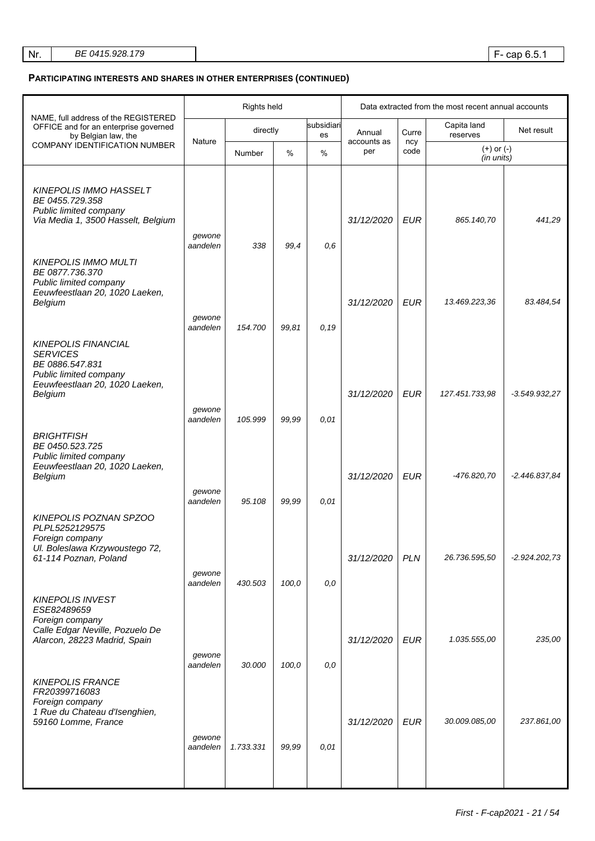| Nr. | BE 0415.928.179 |
|-----|-----------------|
|     |                 |

## **PARTICIPATING INTERESTS AND SHARES IN OTHER ENTERPRISES (CONTINUED)**

|                                                                                                                                         |                    | Rights held |       |                  | Data extracted from the most recent annual accounts |             |                              |                 |
|-----------------------------------------------------------------------------------------------------------------------------------------|--------------------|-------------|-------|------------------|-----------------------------------------------------|-------------|------------------------------|-----------------|
| NAME, full address of the REGISTERED<br>OFFICE and for an enterprise governed<br>by Belgian law, the                                    |                    | directly    |       | subsidiari<br>es | Curre<br>Annual<br>accounts as                      |             | Capita land<br>reserves      | Net result      |
| <b>COMPANY IDENTIFICATION NUMBER</b>                                                                                                    | Nature             | Number      | %     | %                | per                                                 | ncy<br>code | $(+)$ or $(-)$<br>(in units) |                 |
| <b>KINEPOLIS IMMO HASSELT</b><br>BE 0455.729.358<br>Public limited company<br>Via Media 1, 3500 Hasselt, Belgium                        | gewone<br>aandelen | 338         | 99,4  | 0,6              | 31/12/2020                                          | EUR         | 865.140,70                   | 441,29          |
| <b>KINEPOLIS IMMO MULTI</b><br>BE 0877.736.370<br>Public limited company<br>Eeuwfeestlaan 20, 1020 Laeken,<br>Belgium                   | gewone<br>aandelen | 154.700     | 99,81 | 0, 19            | 31/12/2020                                          | EUR         | 13.469.223,36                | 83.484,54       |
| <b>KINEPOLIS FINANCIAL</b><br><b>SERVICES</b><br>BE 0886.547.831<br>Public limited company<br>Eeuwfeestlaan 20, 1020 Laeken,<br>Belgium | gewone<br>aandelen | 105.999     | 99,99 | 0,01             | 31/12/2020                                          | EUR         | 127.451.733,98               | $-3.549.932,27$ |
| <b>BRIGHTFISH</b><br>BE 0450.523.725<br>Public limited company<br>Eeuwfeestlaan 20, 1020 Laeken,<br>Belgium                             | gewone<br>aandelen | 95.108      | 99,99 | 0,01             | 31/12/2020                                          | <b>EUR</b>  | -476.820,70                  | $-2.446.837.84$ |
| KINEPOLIS POZNAN SPZOO<br>PLPL5252129575<br>Foreign company<br>Ul. Boleslawa Krzywoustego 72,<br>61-114 Poznan, Poland                  | gewone<br>aandelen | 430.503     | 100,0 | 0,0              | 31/12/2020                                          | <b>PLN</b>  | 26.736.595,50                | $-2.924.202,73$ |
| <b>KINEPOLIS INVEST</b><br>ESE82489659<br>Foreign company<br>Calle Edgar Neville, Pozuelo De<br>Alarcon, 28223 Madrid, Spain            | qewone<br>aandelen | 30.000      | 100,0 | 0,0              | 31/12/2020                                          | EUR         | 1.035.555,00                 | 235,00          |
| <b>KINEPOLIS FRANCE</b><br>FR20399716083<br>Foreign company<br>1 Rue du Chateau d'Isenghien,<br>59160 Lomme, France                     | gewone<br>aandelen | 1.733.331   | 99,99 | 0,01             | 31/12/2020                                          | <b>EUR</b>  | 30.009.085,00                | 237.861,00      |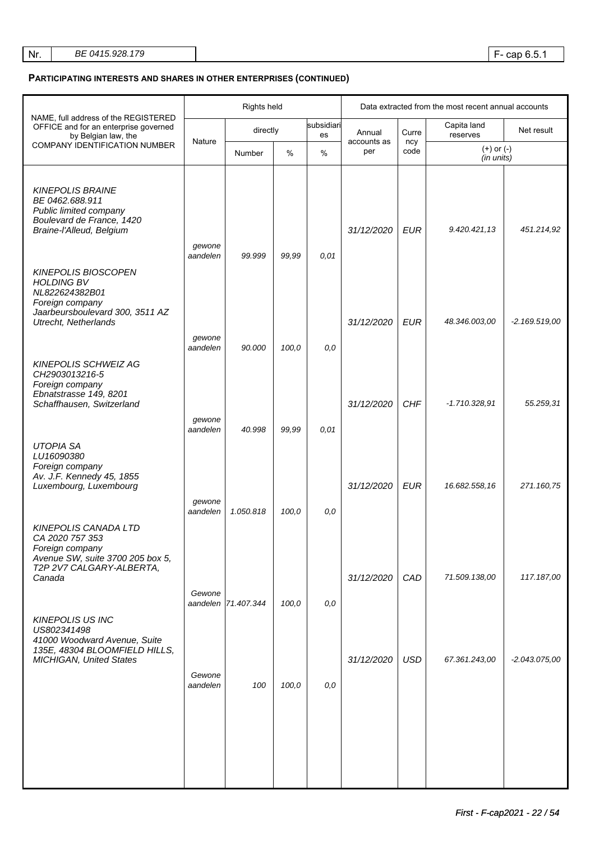# **PARTICIPATING INTERESTS AND SHARES IN OTHER ENTERPRISES (CONTINUED)**

|                                                                                                                                                        | Rights held        |                     |       |                  | Data extracted from the most recent annual accounts |             |                              |                 |
|--------------------------------------------------------------------------------------------------------------------------------------------------------|--------------------|---------------------|-------|------------------|-----------------------------------------------------|-------------|------------------------------|-----------------|
| NAME, full address of the REGISTERED<br>OFFICE and for an enterprise governed<br>by Belgian law, the                                                   |                    | directly            |       | subsidiari<br>es | Annual                                              | Curre       | Capita land<br>reserves      | Net result      |
| <b>COMPANY IDENTIFICATION NUMBER</b>                                                                                                                   | Nature             | Number              | $\%$  | $\%$             | accounts as<br>per                                  | ncy<br>code | $(+)$ or $(-)$<br>(in units) |                 |
| <b>KINEPOLIS BRAINE</b><br>BE 0462.688.911<br>Public limited company<br>Boulevard de France, 1420<br>Braine-l'Alleud, Belgium                          | gewone             |                     |       |                  | 31/12/2020                                          | <b>EUR</b>  | 9.420.421,13                 | 451.214,92      |
| <b>KINEPOLIS BIOSCOPEN</b><br><b>HOLDING BV</b><br>NL822624382B01<br>Foreign company<br>Jaarbeursboulevard 300, 3511 AZ<br><b>Utrecht, Netherlands</b> | aandelen           | 99.999              | 99,99 | 0,01             | 31/12/2020                                          | <b>EUR</b>  | 48.346.003,00                | $-2.169.519,00$ |
|                                                                                                                                                        | gewone<br>aandelen | 90.000              | 100,0 | 0,0              |                                                     |             |                              |                 |
| <b>KINEPOLIS SCHWEIZ AG</b><br>CH2903013216-5<br>Foreign company<br>Ebnatstrasse 149, 8201<br>Schaffhausen, Switzerland                                |                    |                     |       |                  | 31/12/2020                                          | <b>CHF</b>  | $-1.710.328.91$              | 55.259,31       |
|                                                                                                                                                        | gewone<br>aandelen | 40.998              | 99,99 | 0,01             |                                                     |             |                              |                 |
| <b>UTOPIA SA</b><br>LU16090380<br>Foreign company<br>Av. J.F. Kennedy 45, 1855<br>Luxembourg, Luxembourg                                               | gewone<br>aandelen | 1.050.818           | 100,0 | 0,0              | 31/12/2020                                          | <b>EUR</b>  | 16.682.558,16                | 271.160,75      |
| <b>KINEPOLIS CANADA LTD</b><br>CA 2020 757 353<br>Foreign company<br>Avenue SW, suite 3700 205 box 5,<br>T2P 2V7 CALGARY-ALBERTA,<br>Canada            | Gewone             | aandelen 71.407.344 | 100,0 | 0,0              | 31/12/2020                                          | CAD         | 71.509.138,00                | 117.187,00      |
| <b>KINEPOLIS US INC</b><br>US802341498<br>41000 Woodward Avenue, Suite<br>135E, 48304 BLOOMFIELD HILLS,<br><b>MICHIGAN, United States</b>              | Gewone<br>aandelen | 100                 | 100,0 | 0,0              | 31/12/2020                                          | <b>USD</b>  | 67.361.243,00                | $-2.043.075.00$ |
|                                                                                                                                                        |                    |                     |       |                  |                                                     |             |                              |                 |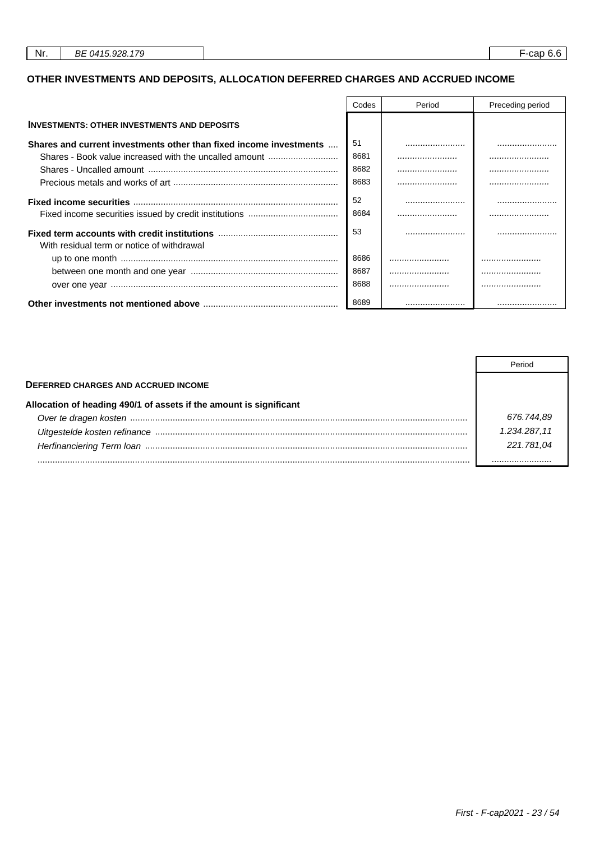# **OTHER INVESTMENTS AND DEPOSITS, ALLOCATION DEFERRED CHARGES AND ACCRUED INCOME**

|                                                                    | Codes      | Period | Preceding period |
|--------------------------------------------------------------------|------------|--------|------------------|
| <b>INVESTMENTS: OTHER INVESTMENTS AND DEPOSITS</b>                 |            |        |                  |
| Shares and current investments other than fixed income investments | .51        |        |                  |
| Shares - Book value increased with the uncalled amount             | 8681       |        |                  |
|                                                                    | 8682       |        |                  |
|                                                                    | 8683       |        |                  |
|                                                                    | 52<br>8684 |        |                  |
| With residual term or notice of withdrawal                         | -53        |        |                  |
|                                                                    | 8686       |        |                  |
|                                                                    | 8687       |        |                  |
|                                                                    | 8688       |        |                  |
|                                                                    | 8689       |        |                  |

|                                                                    | Period       |
|--------------------------------------------------------------------|--------------|
| <b>DEFERRED CHARGES AND ACCRUED INCOME</b>                         |              |
| Allocation of heading 490/1 of assets if the amount is significant |              |
|                                                                    | 676.744,89   |
|                                                                    | 1.234.287,11 |
|                                                                    | 221.781.04   |
|                                                                    |              |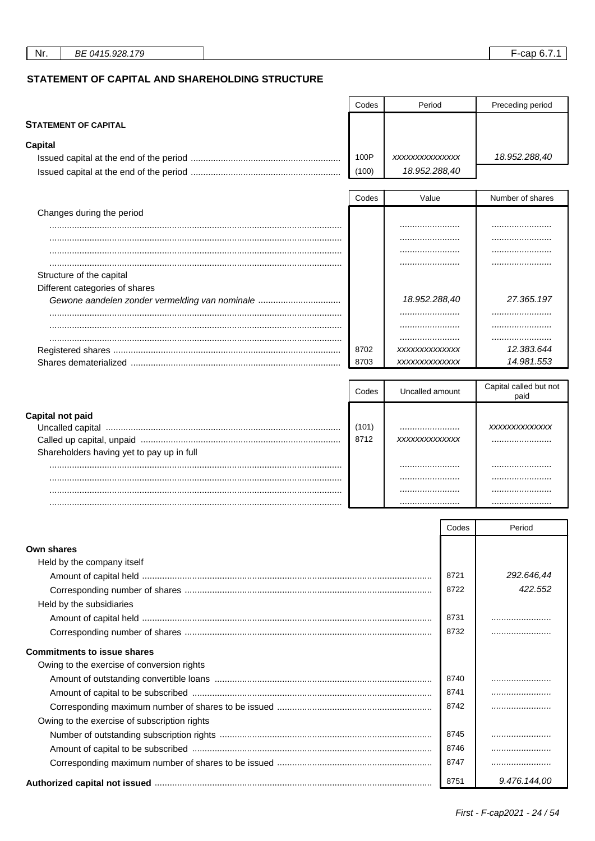Preceding period

## STATEMENT OF CAPITAL AND SHAREHOLDING STRUCTURE

| <b>STATEMENT OF CAPITAL</b>                    |           |                 |       |                        |  |
|------------------------------------------------|-----------|-----------------|-------|------------------------|--|
| <b>Capital</b>                                 |           |                 |       |                        |  |
|                                                | 100P      | XXXXXXXXXXXXXX  |       | 18.952.288,40          |  |
|                                                | (100)     | 18.952.288,40   |       |                        |  |
|                                                | Codes     | Value           |       | Number of shares       |  |
| Changes during the period                      |           |                 |       |                        |  |
|                                                |           | .               |       |                        |  |
|                                                |           |                 |       |                        |  |
|                                                |           |                 |       |                        |  |
| Structure of the capital                       |           |                 |       |                        |  |
| Different categories of shares                 |           |                 |       |                        |  |
| Gewone aandelen zonder vermelding van nominale |           | 18.952.288,40   |       | 27.365.197             |  |
|                                                |           |                 |       |                        |  |
|                                                |           |                 |       |                        |  |
|                                                |           |                 |       |                        |  |
|                                                | 8702      | XXXXXXXXXXXXX   |       | 12.383.644             |  |
|                                                | 8703      | XXXXXXXXXXXXX   |       | 14.981.553             |  |
|                                                |           |                 |       | Capital called but not |  |
|                                                | Codes     | Uncalled amount |       | paid                   |  |
| Capital not paid                               |           |                 |       |                        |  |
|                                                | (101)<br> |                 |       | XXXXXXXXXXXXX          |  |
|                                                | 8712      | XXXXXXXXXXXXX   |       |                        |  |
| Shareholders having yet to pay up in full      |           |                 |       |                        |  |
|                                                |           |                 |       |                        |  |
|                                                |           |                 |       |                        |  |
|                                                |           |                 |       |                        |  |
|                                                |           |                 |       |                        |  |
|                                                |           |                 | Codes | Period                 |  |
| <b>Own shares</b>                              |           |                 |       |                        |  |
| Held by the company itself                     |           |                 |       |                        |  |
|                                                |           |                 | 8721  | 292.646,44             |  |
|                                                |           |                 | 8722  | 422.552                |  |
| Held by the subsidiaries                       |           |                 |       |                        |  |
|                                                |           |                 | 8731  |                        |  |
|                                                |           |                 | 8732  |                        |  |
|                                                |           |                 |       |                        |  |
| <b>Commitments to issue shares</b>             |           |                 |       |                        |  |
| Owing to the exercise of conversion rights     |           |                 |       |                        |  |
|                                                |           | 8740            |       |                        |  |
|                                                |           | 8741            |       |                        |  |
|                                                |           |                 | 8742  |                        |  |
| Owing to the exercise of subscription rights   |           |                 |       |                        |  |
|                                                |           |                 | 8745  |                        |  |
|                                                |           |                 | 8746  |                        |  |
|                                                |           |                 | 8747  |                        |  |

Codes

Period

9.476.144,00

8751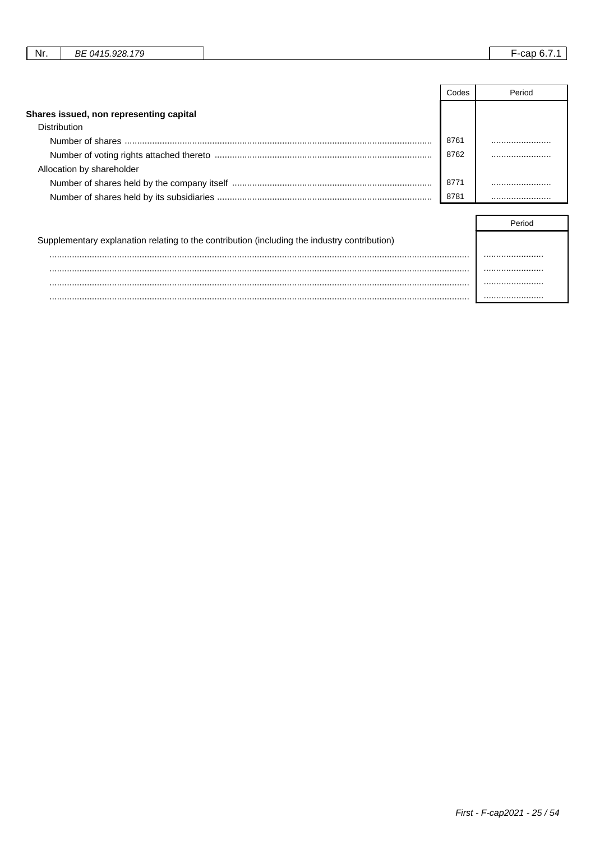| 7c<br>ററ്റ<br>nг<br>$14^{4}$<br>Nr.<br>DC<br>. . CII<br>$\cdot$<br>. |
|----------------------------------------------------------------------|
|----------------------------------------------------------------------|

|                                         | Codes | Period |
|-----------------------------------------|-------|--------|
| Shares issued, non representing capital |       |        |
| Distribution                            |       |        |
|                                         | 8761  |        |
|                                         | 8762  |        |
| Allocation by shareholder               |       |        |
|                                         | 8771  |        |
|                                         | 8781  |        |

| Supplementary explanation relating to the contribution (including the industry contribution) |  |
|----------------------------------------------------------------------------------------------|--|
|                                                                                              |  |
|                                                                                              |  |
|                                                                                              |  |
|                                                                                              |  |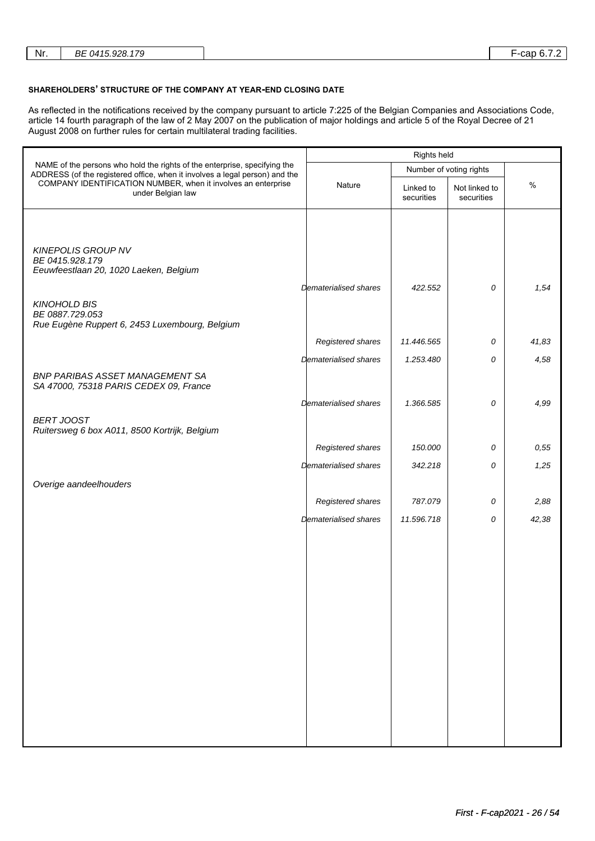| Nr. |
|-----|
|-----|

#### **SHAREHOLDERS' STRUCTURE OF THE COMPANY AT YEAR-END CLOSING DATE**

As reflected in the notifications received by the company pursuant to article 7:225 of the Belgian Companies and Associations Code, article 14 fourth paragraph of the law of 2 May 2007 on the publication of major holdings and article 5 of the Royal Decree of 21 August 2008 on further rules for certain multilateral trading facilities.

|                                                                                                                                                          | Rights held                  |                         |                             |       |
|----------------------------------------------------------------------------------------------------------------------------------------------------------|------------------------------|-------------------------|-----------------------------|-------|
| NAME of the persons who hold the rights of the enterprise, specifying the<br>ADDRESS (of the registered office, when it involves a legal person) and the |                              | Number of voting rights |                             |       |
| COMPANY IDENTIFICATION NUMBER, when it involves an enterprise<br>under Belgian law                                                                       | Nature                       | Linked to<br>securities | Not linked to<br>securities | $\%$  |
|                                                                                                                                                          |                              |                         |                             |       |
|                                                                                                                                                          |                              |                         |                             |       |
| <b>KINEPOLIS GROUP NV</b>                                                                                                                                |                              |                         |                             |       |
| BE 0415.928.179<br>Eeuwfeestlaan 20, 1020 Laeken, Belgium                                                                                                |                              |                         |                             |       |
|                                                                                                                                                          | Dematerialised shares        | 422.552                 | 0                           | 1,54  |
| <b>KINOHOLD BIS</b><br>BE 0887.729.053<br>Rue Eugène Ruppert 6, 2453 Luxembourg, Belgium                                                                 |                              |                         |                             |       |
|                                                                                                                                                          | Registered shares            | 11.446.565              | 0                           | 41,83 |
|                                                                                                                                                          | <b>Dematerialised shares</b> | 1.253.480               | 0                           | 4,58  |
| <b>BNP PARIBAS ASSET MANAGEMENT SA</b><br>SA 47000, 75318 PARIS CEDEX 09, France                                                                         |                              |                         |                             |       |
|                                                                                                                                                          | Dematerialised shares        | 1.366.585               | 0                           | 4,99  |
| <b>BERT JOOST</b><br>Ruitersweg 6 box A011, 8500 Kortrijk, Belgium                                                                                       |                              |                         |                             |       |
|                                                                                                                                                          | Registered shares            | 150.000                 | 0                           | 0,55  |
|                                                                                                                                                          | Dematerialised shares        | 342.218                 | 0                           | 1,25  |
| Overige aandeelhouders                                                                                                                                   |                              |                         |                             |       |
|                                                                                                                                                          | Registered shares            | 787.079                 | 0                           | 2,88  |
|                                                                                                                                                          | <b>Dematerialised shares</b> | 11.596.718              | 0                           | 42,38 |
|                                                                                                                                                          |                              |                         |                             |       |
|                                                                                                                                                          |                              |                         |                             |       |
|                                                                                                                                                          |                              |                         |                             |       |
|                                                                                                                                                          |                              |                         |                             |       |
|                                                                                                                                                          |                              |                         |                             |       |
|                                                                                                                                                          |                              |                         |                             |       |
|                                                                                                                                                          |                              |                         |                             |       |
|                                                                                                                                                          |                              |                         |                             |       |
|                                                                                                                                                          |                              |                         |                             |       |
|                                                                                                                                                          |                              |                         |                             |       |
|                                                                                                                                                          |                              |                         |                             |       |
|                                                                                                                                                          |                              |                         |                             |       |
|                                                                                                                                                          |                              |                         |                             |       |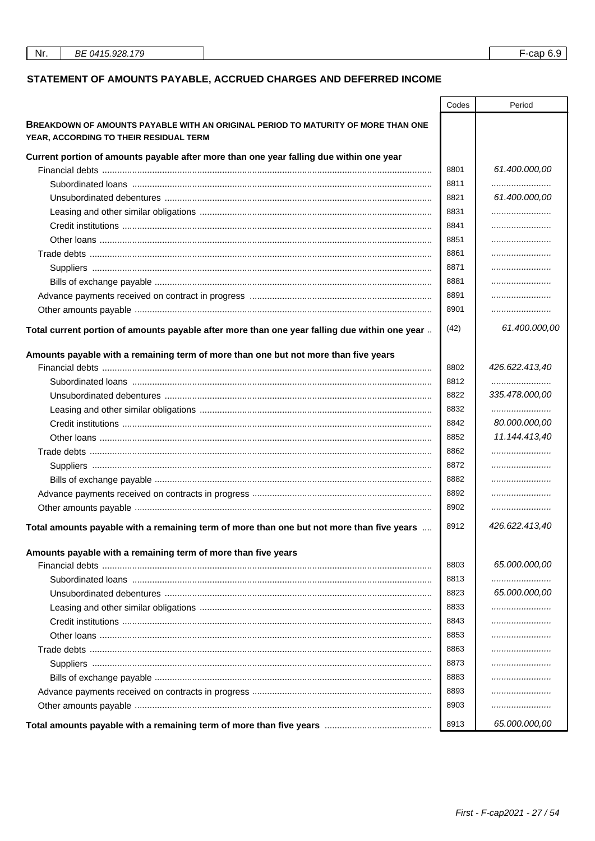# STATEMENT OF AMOUNTS PAYABLE, ACCRUED CHARGES AND DEFERRED INCOME

|                                                                                               | Codes | Period         |
|-----------------------------------------------------------------------------------------------|-------|----------------|
| <b>BREAKDOWN OF AMOUNTS PAYABLE WITH AN ORIGINAL PERIOD TO MATURITY OF MORE THAN ONE</b>      |       |                |
| YEAR, ACCORDING TO THEIR RESIDUAL TERM                                                        |       |                |
|                                                                                               |       |                |
| Current portion of amounts payable after more than one year falling due within one year       |       |                |
|                                                                                               | 8801  | 61.400.000,00  |
|                                                                                               | 8811  |                |
|                                                                                               | 8821  | 61.400.000,00  |
|                                                                                               | 8831  |                |
|                                                                                               | 8841  |                |
|                                                                                               | 8851  |                |
|                                                                                               | 8861  |                |
|                                                                                               | 8871  |                |
|                                                                                               | 8881  |                |
|                                                                                               | 8891  |                |
|                                                                                               | 8901  |                |
| Total current portion of amounts payable after more than one year falling due within one year | (42)  | 61.400.000,00  |
| Amounts payable with a remaining term of more than one but not more than five years           |       |                |
|                                                                                               | 8802  | 426.622.413,40 |
|                                                                                               | 8812  |                |
|                                                                                               | 8822  | 335.478.000,00 |
|                                                                                               | 8832  |                |
|                                                                                               | 8842  | 80.000.000,00  |
|                                                                                               | 8852  | 11.144.413.40  |
|                                                                                               | 8862  |                |
|                                                                                               | 8872  |                |
|                                                                                               | 8882  |                |
|                                                                                               | 8892  |                |
|                                                                                               | 8902  |                |
| Total amounts payable with a remaining term of more than one but not more than five years     | 8912  | 426.622.413,40 |
| Amounts payable with a remaining term of more than five years                                 |       |                |
|                                                                                               | 8803  | 65.000.000,00  |
|                                                                                               | 8813  |                |
|                                                                                               | 8823  | 65.000.000,00  |
|                                                                                               | 8833  |                |
|                                                                                               | 8843  |                |
|                                                                                               | 8853  |                |
|                                                                                               | 8863  |                |
|                                                                                               |       |                |
|                                                                                               | 8873  |                |
|                                                                                               | 8883  |                |
|                                                                                               | 8893  |                |
|                                                                                               | 8903  |                |
|                                                                                               | 8913  | 65.000.000,00  |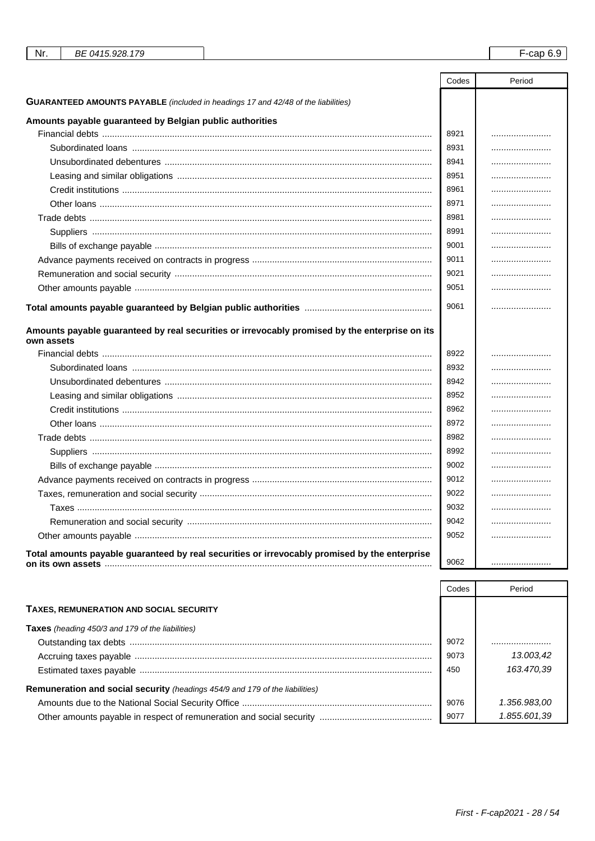| Nr.<br>BE 0415.928.179                                                                         |       | $F$ -cap 6.9 |
|------------------------------------------------------------------------------------------------|-------|--------------|
|                                                                                                |       |              |
|                                                                                                | Codes | Period       |
| <b>GUARANTEED AMOUNTS PAYABLE</b> (included in headings 17 and 42/48 of the liabilities)       |       |              |
| Amounts payable guaranteed by Belgian public authorities                                       |       |              |
|                                                                                                | 8921  |              |
|                                                                                                | 8931  |              |
|                                                                                                | 8941  |              |
|                                                                                                | 8951  |              |
|                                                                                                | 8961  |              |
|                                                                                                | 8971  |              |
|                                                                                                | 8981  |              |
|                                                                                                | 8991  |              |
|                                                                                                | 9001  |              |
|                                                                                                | 9011  |              |
|                                                                                                | 9021  |              |
|                                                                                                | 9051  |              |
|                                                                                                |       |              |
|                                                                                                | 9061  |              |
| Amounts payable guaranteed by real securities or irrevocably promised by the enterprise on its |       |              |
| own assets                                                                                     |       |              |
|                                                                                                | 8922  |              |
|                                                                                                | 8932  |              |
|                                                                                                | 8942  |              |
|                                                                                                | 8952  |              |
|                                                                                                | 8962  |              |
|                                                                                                | 8972  |              |
|                                                                                                | 8982  |              |
|                                                                                                | 8992  |              |
|                                                                                                | 9002  |              |
|                                                                                                | 9012  |              |
|                                                                                                | 9022  |              |
|                                                                                                | 9032  |              |
|                                                                                                | 9042  |              |
|                                                                                                | 9052  |              |
| Total amounts payable guaranteed by real securities or irrevocably promised by the enterprise  |       |              |
|                                                                                                | 9062  |              |

|                                                                                     | Codes | Period       |
|-------------------------------------------------------------------------------------|-------|--------------|
| <b>TAXES, REMUNERATION AND SOCIAL SECURITY</b>                                      |       |              |
| <b>Taxes</b> (heading 450/3 and 179 of the liabilities)                             |       |              |
|                                                                                     | 9072  |              |
|                                                                                     | 9073  | 13.003,42    |
|                                                                                     | 450   | 163.470.39   |
| <b>Remuneration and social security</b> (headings 454/9 and 179 of the liabilities) |       |              |
|                                                                                     | 9076  | 1.356.983,00 |
|                                                                                     | 9077  | 1.855.601,39 |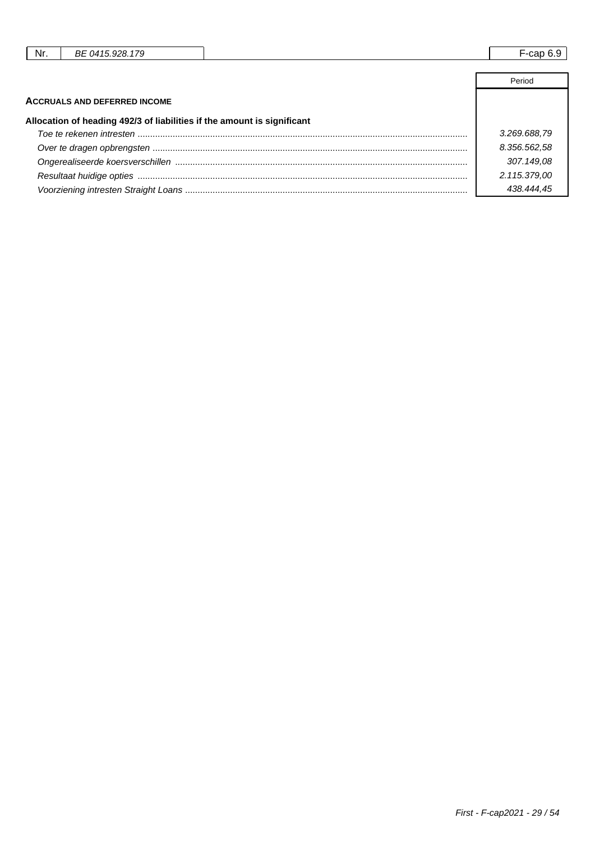| Nr. | 179<br>0415928<br>ВE | $\overline{\phantom{0}}$<br>⊢-cap<br>ັບ.ບ |
|-----|----------------------|-------------------------------------------|
|     |                      |                                           |
|     |                      | Period                                    |

|                                                                         | . טוויט      |
|-------------------------------------------------------------------------|--------------|
| <b>ACCRUALS AND DEFERRED INCOME</b>                                     |              |
| Allocation of heading 492/3 of liabilities if the amount is significant |              |
|                                                                         | 3.269.688,79 |
|                                                                         | 8.356.562,58 |
|                                                                         | 307.149.08   |
|                                                                         | 2.115.379,00 |
|                                                                         | 438.444.45   |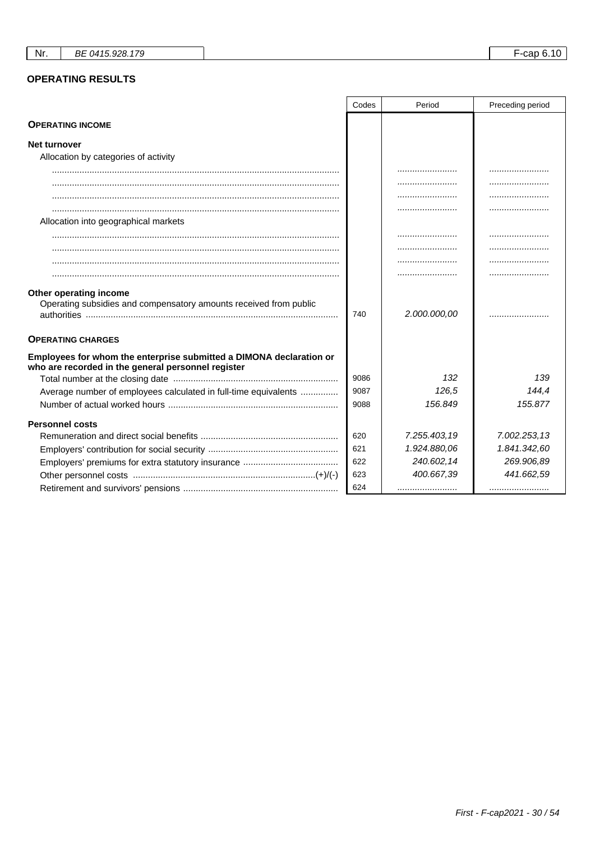## **OPERATING RESULTS**

|                                                                                                                           | Codes | Period       | Preceding period |
|---------------------------------------------------------------------------------------------------------------------------|-------|--------------|------------------|
| <b>OPERATING INCOME</b>                                                                                                   |       |              |                  |
| <b>Net turnover</b>                                                                                                       |       |              |                  |
| Allocation by categories of activity                                                                                      |       |              |                  |
|                                                                                                                           |       |              |                  |
|                                                                                                                           |       |              |                  |
|                                                                                                                           |       |              |                  |
|                                                                                                                           |       |              |                  |
| Allocation into geographical markets                                                                                      |       |              |                  |
|                                                                                                                           |       |              |                  |
|                                                                                                                           |       |              |                  |
|                                                                                                                           |       |              |                  |
|                                                                                                                           |       |              |                  |
| Other operating income<br>Operating subsidies and compensatory amounts received from public                               | 740   | 2.000.000,00 |                  |
| <b>OPERATING CHARGES</b>                                                                                                  |       |              |                  |
| Employees for whom the enterprise submitted a DIMONA declaration or<br>who are recorded in the general personnel register |       |              |                  |
|                                                                                                                           | 9086  | 132          | 139              |
| Average number of employees calculated in full-time equivalents                                                           | 9087  | 126.5        | 144,4            |
|                                                                                                                           | 9088  | 156.849      | 155.877          |
| <b>Personnel costs</b>                                                                                                    |       |              |                  |
|                                                                                                                           | 620   | 7.255.403.19 | 7.002.253,13     |
|                                                                                                                           | 621   | 1.924.880,06 | 1.841.342,60     |
|                                                                                                                           | 622   | 240.602,14   | 269.906,89       |
|                                                                                                                           | 623   | 400.667,39   | 441.662,59       |
|                                                                                                                           | 624   |              |                  |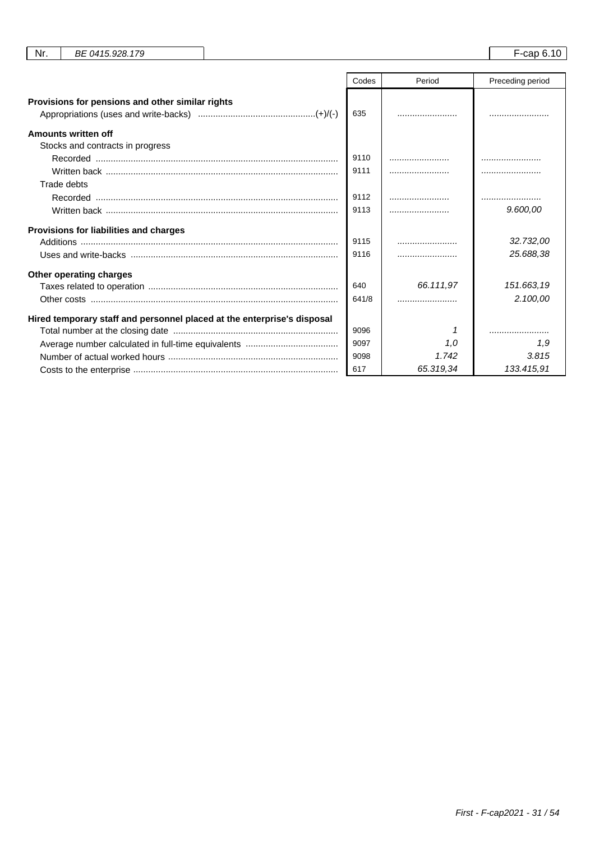|                                                                         | Codes | Period    | Preceding period |
|-------------------------------------------------------------------------|-------|-----------|------------------|
|                                                                         |       |           |                  |
| Provisions for pensions and other similar rights                        |       |           |                  |
|                                                                         | 635   |           |                  |
| Amounts written off                                                     |       |           |                  |
| Stocks and contracts in progress                                        |       |           |                  |
|                                                                         | 9110  |           |                  |
|                                                                         | 9111  |           |                  |
| Trade debts                                                             |       |           |                  |
|                                                                         | 9112  |           |                  |
|                                                                         | 9113  |           | 9.600,00         |
| Provisions for liabilities and charges                                  |       |           |                  |
|                                                                         | 9115  |           | 32.732,00        |
|                                                                         | 9116  |           | 25.688,38        |
| Other operating charges                                                 |       |           |                  |
|                                                                         | 640   | 66.111,97 | 151.663,19       |
|                                                                         | 641/8 |           | 2.100,00         |
| Hired temporary staff and personnel placed at the enterprise's disposal |       |           |                  |
|                                                                         | 9096  |           |                  |
|                                                                         | 9097  | 1.0       | 1.9              |
|                                                                         | 9098  | 1.742     | 3.815            |
|                                                                         | 617   | 65.319.34 | 133.415,91       |

Nr. BE 0415.928.179 F-cap 6.10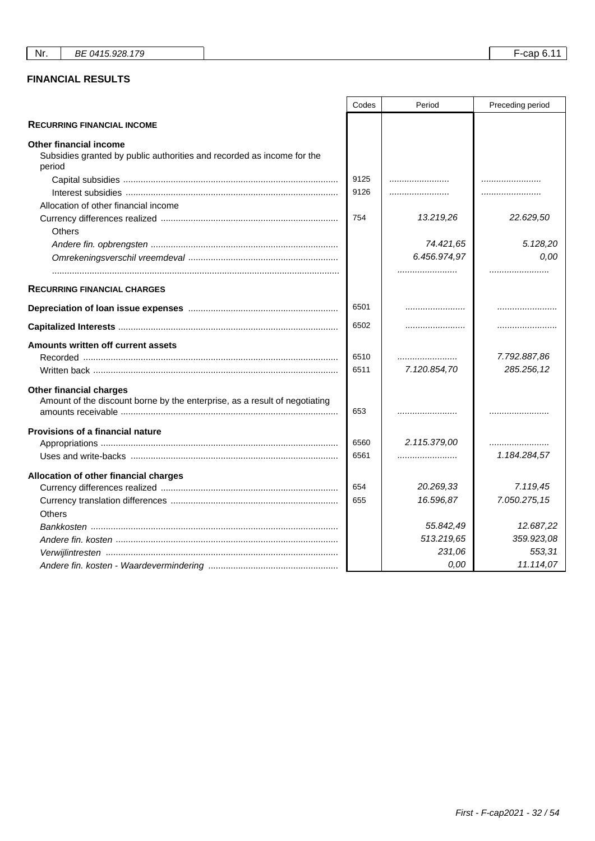# **FINANCIAL RESULTS**

|                                                                                                              | Codes | Period       | Preceding period |
|--------------------------------------------------------------------------------------------------------------|-------|--------------|------------------|
| <b>RECURRING FINANCIAL INCOME</b>                                                                            |       |              |                  |
| Other financial income<br>Subsidies granted by public authorities and recorded as income for the<br>period   |       |              |                  |
|                                                                                                              | 9125  |              |                  |
|                                                                                                              | 9126  |              |                  |
| Allocation of other financial income                                                                         |       |              |                  |
| <b>Others</b>                                                                                                | 754   | 13.219,26    | 22.629,50        |
|                                                                                                              |       | 74.421,65    | 5.128,20         |
|                                                                                                              |       | 6.456.974,97 | 0,00             |
|                                                                                                              |       |              |                  |
| <b>RECURRING FINANCIAL CHARGES</b>                                                                           |       |              |                  |
|                                                                                                              | 6501  |              |                  |
|                                                                                                              | 6502  |              |                  |
| Amounts written off current assets                                                                           |       |              |                  |
|                                                                                                              | 6510  |              | 7.792.887,86     |
|                                                                                                              | 6511  | 7.120.854,70 | 285.256,12       |
| <b>Other financial charges</b><br>Amount of the discount borne by the enterprise, as a result of negotiating | 653   |              |                  |
| <b>Provisions of a financial nature</b>                                                                      |       |              |                  |
|                                                                                                              | 6560  | 2.115.379.00 |                  |
|                                                                                                              | 6561  |              | 1.184.284,57     |
| Allocation of other financial charges                                                                        |       |              |                  |
|                                                                                                              | 654   | 20.269,33    | 7.119,45         |
|                                                                                                              | 655   | 16.596,87    | 7.050.275,15     |
| Others                                                                                                       |       |              |                  |
|                                                                                                              |       | 55.842,49    | 12.687,22        |
|                                                                                                              |       | 513.219,65   | 359.923,08       |
|                                                                                                              |       | 231,06       | 553,31           |
|                                                                                                              |       | 0,00         | 11.114,07        |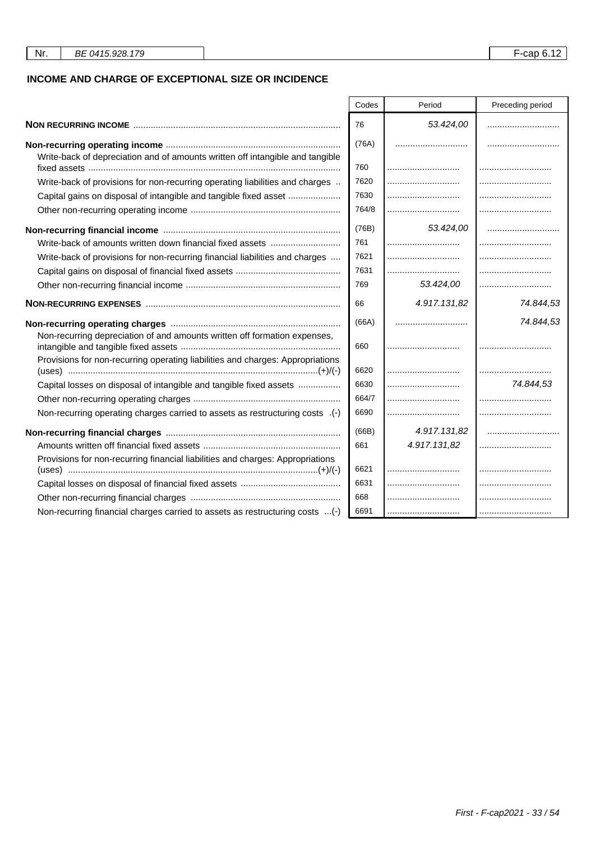## **INCOME AND CHARGE OF EXCEPTIONAL SIZE OR INCIDENCE**

|                                                                                | Codes | Period       | Preceding period |
|--------------------------------------------------------------------------------|-------|--------------|------------------|
|                                                                                | 76    | 53.424,00    |                  |
|                                                                                | (76A) |              |                  |
| Write-back of depreciation and of amounts written off intangible and tangible  |       |              |                  |
|                                                                                | 760   |              |                  |
| Write-back of provisions for non-recurring operating liabilities and charges   | 7620  |              |                  |
| Capital gains on disposal of intangible and tangible fixed asset               | 7630  |              |                  |
|                                                                                | 764/8 |              |                  |
|                                                                                | (76B) | 53.424,00    |                  |
| Write-back of amounts written down financial fixed assets                      | 761   |              |                  |
| Write-back of provisions for non-recurring financial liabilities and charges   | 7621  |              |                  |
|                                                                                | 7631  |              |                  |
|                                                                                | 769   | 53.424,00    |                  |
|                                                                                | 66    | 4.917.131,82 | 74.844,53        |
|                                                                                | (66A) |              | 74.844,53        |
| Non-recurring depreciation of and amounts written off formation expenses,      | 660   |              |                  |
| Provisions for non-recurring operating liabilities and charges: Appropriations | 6620  |              |                  |
| Capital losses on disposal of intangible and tangible fixed assets             | 6630  |              | 74.844,53        |
|                                                                                | 664/7 |              |                  |
| Non-recurring operating charges carried to assets as restructuring costs .(-)  | 6690  |              |                  |
|                                                                                |       |              |                  |
|                                                                                | (66B) | 4.917.131,82 |                  |
|                                                                                | 661   | 4.917.131,82 |                  |
| Provisions for non-recurring financial liabilities and charges: Appropriations | 6621  |              |                  |
|                                                                                | 6631  |              |                  |
|                                                                                | 668   |              |                  |
| Non-recurring financial charges carried to assets as restructuring costs (-)   | 6691  |              |                  |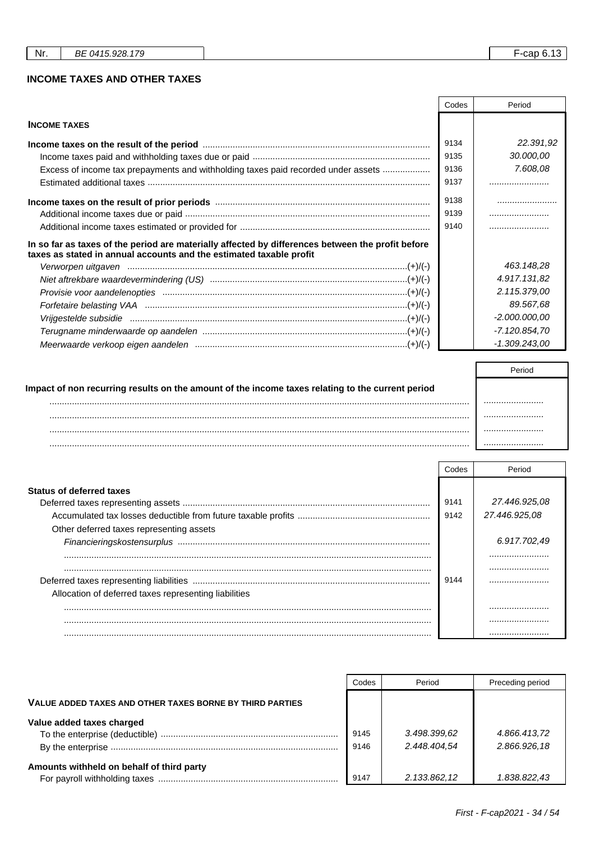## **INCOME TAXES AND OTHER TAXES**

|                                                                                                                                                                          | Codes | Period          |
|--------------------------------------------------------------------------------------------------------------------------------------------------------------------------|-------|-----------------|
| <b>INCOME TAXES</b>                                                                                                                                                      |       |                 |
|                                                                                                                                                                          | 9134  | 22.391,92       |
|                                                                                                                                                                          | 9135  | 30.000,00       |
| Excess of income tax prepayments and withholding taxes paid recorded under assets                                                                                        | 9136  | 7.608,08        |
|                                                                                                                                                                          | 9137  |                 |
|                                                                                                                                                                          | 9138  |                 |
|                                                                                                                                                                          | 9139  |                 |
|                                                                                                                                                                          | 9140  |                 |
| In so far as taxes of the period are materially affected by differences between the profit before<br>taxes as stated in annual accounts and the estimated taxable profit |       |                 |
|                                                                                                                                                                          |       | 463.148,28      |
|                                                                                                                                                                          |       | 4.917.131,82    |
|                                                                                                                                                                          |       | 2.115.379,00    |
|                                                                                                                                                                          |       | 89.567,68       |
| Vrijgestelde subsidie medical metal and the state of the state of the vertex of the vertex of the vertex $(+)/(-)$                                                       |       | $-2.000.000,00$ |
|                                                                                                                                                                          |       | -7.120.854,70   |
|                                                                                                                                                                          |       | $-1.309.243.00$ |

| Impact of non recurring results on the amount of the income taxes relating to the current period |  |
|--------------------------------------------------------------------------------------------------|--|
|                                                                                                  |  |
|                                                                                                  |  |
|                                                                                                  |  |
|                                                                                                  |  |

|                                                       | Codes        | Period                         |
|-------------------------------------------------------|--------------|--------------------------------|
| <b>Status of deferred taxes</b>                       | 9141<br>9142 | 27.446.925.08<br>27.446.925.08 |
| Other deferred taxes representing assets              |              | 6.917.702,49<br>               |
| Allocation of deferred taxes representing liabilities | 9144         |                                |
|                                                       |              |                                |
|                                                       |              |                                |

|                                                          | Codes        | Period                       | Preceding period             |
|----------------------------------------------------------|--------------|------------------------------|------------------------------|
| VALUE ADDED TAXES AND OTHER TAXES BORNE BY THIRD PARTIES |              |                              |                              |
| Value added taxes charged                                | 9145<br>9146 | 3.498.399.62<br>2.448.404.54 | 4.866.413,72<br>2.866.926,18 |
| Amounts withheld on behalf of third party                | 9147         | 2.133.862,12                 | 1.838.822.43                 |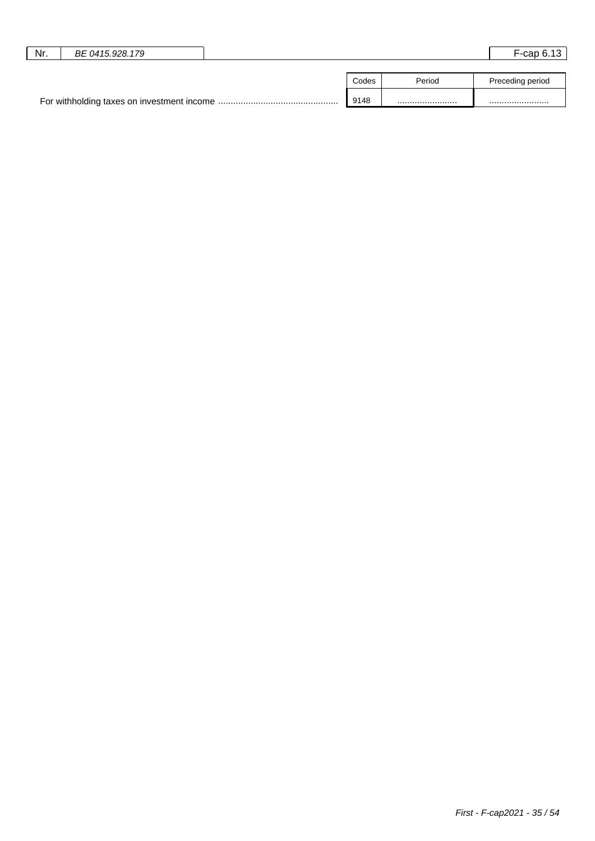| Nr. | BE 0415.928.179 |       |        | $F$ -cap 6.13    |
|-----|-----------------|-------|--------|------------------|
|     |                 |       |        |                  |
|     |                 | Codes | Period | Preceding period |
|     |                 | 9148  |        |                  |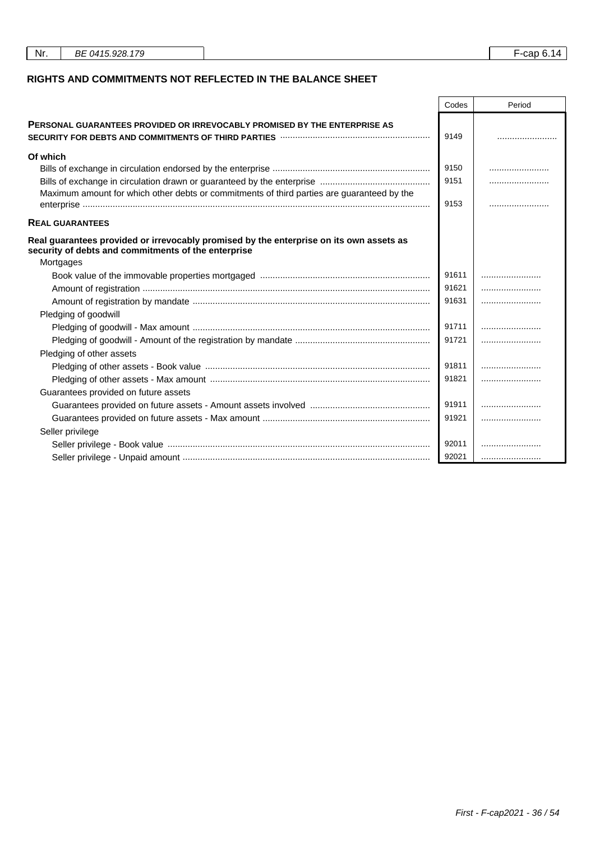| Nr. | BE 0415.928.179 |  | F-cap 6.14 |  |
|-----|-----------------|--|------------|--|
|     |                 |  |            |  |

## **RIGHTS AND COMMITMENTS NOT REFLECTED IN THE BALANCE SHEET**

|                                                                                                                                                                                  | Codes | Period |
|----------------------------------------------------------------------------------------------------------------------------------------------------------------------------------|-------|--------|
| <b>PERSONAL GUARANTEES PROVIDED OR IRREVOCABLY PROMISED BY THE ENTERPRISE AS</b><br>SECURITY FOR DEBTS AND COMMITMENTS OF THIRD PARTIES <b>With COMMITMENTS</b> OF THIRD PARTIES | 9149  |        |
| Of which                                                                                                                                                                         |       |        |
|                                                                                                                                                                                  | 9150  |        |
|                                                                                                                                                                                  | 9151  |        |
| Maximum amount for which other debts or commitments of third parties are guaranteed by the                                                                                       | 9153  |        |
| <b>REAL GUARANTEES</b>                                                                                                                                                           |       |        |
| Real guarantees provided or irrevocably promised by the enterprise on its own assets as<br>security of debts and commitments of the enterprise                                   |       |        |
| Mortgages                                                                                                                                                                        |       |        |
|                                                                                                                                                                                  | 91611 |        |
|                                                                                                                                                                                  | 91621 |        |
|                                                                                                                                                                                  | 91631 |        |
| Pledging of goodwill                                                                                                                                                             |       |        |
|                                                                                                                                                                                  | 91711 |        |
|                                                                                                                                                                                  | 91721 |        |
| Pledging of other assets                                                                                                                                                         |       |        |
|                                                                                                                                                                                  | 91811 |        |
|                                                                                                                                                                                  | 91821 |        |
| Guarantees provided on future assets                                                                                                                                             |       |        |
|                                                                                                                                                                                  | 91911 |        |
|                                                                                                                                                                                  | 91921 |        |
| Seller privilege                                                                                                                                                                 |       |        |
|                                                                                                                                                                                  | 92011 |        |
|                                                                                                                                                                                  | 92021 |        |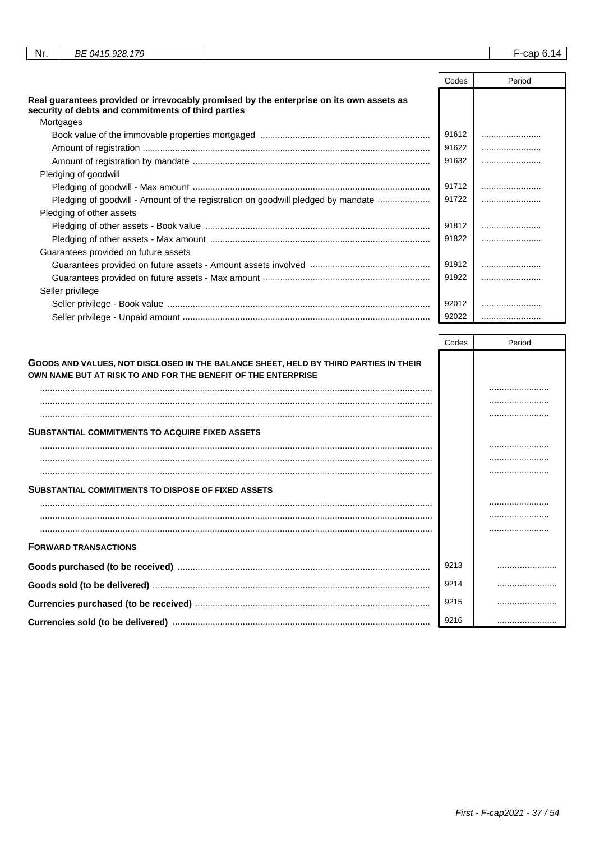| Nr.<br>BE 0415.928.179                             |                                                                                         |       | $-$ cap 6.14 |
|----------------------------------------------------|-----------------------------------------------------------------------------------------|-------|--------------|
|                                                    |                                                                                         |       |              |
|                                                    |                                                                                         | Codes | Period       |
| security of debts and commitments of third parties | Real guarantees provided or irrevocably promised by the enterprise on its own assets as |       |              |

| Mortgages                                                                        |       |  |
|----------------------------------------------------------------------------------|-------|--|
|                                                                                  | 91612 |  |
|                                                                                  | 91622 |  |
|                                                                                  | 91632 |  |
| Pledging of goodwill                                                             |       |  |
|                                                                                  | 91712 |  |
| Pledging of goodwill - Amount of the registration on goodwill pledged by mandate | 91722 |  |
| Pledging of other assets                                                         |       |  |
|                                                                                  | 91812 |  |
|                                                                                  | 91822 |  |
| Guarantees provided on future assets                                             |       |  |
|                                                                                  | 91912 |  |
|                                                                                  | 91922 |  |
| Seller privilege                                                                 |       |  |
|                                                                                  | 92012 |  |
|                                                                                  | 92022 |  |
|                                                                                  |       |  |

|                                                                                                                                                       | Codes | Period |
|-------------------------------------------------------------------------------------------------------------------------------------------------------|-------|--------|
| GOODS AND VALUES, NOT DISCLOSED IN THE BALANCE SHEET, HELD BY THIRD PARTIES IN THEIR<br>OWN NAME BUT AT RISK TO AND FOR THE BENEFIT OF THE ENTERPRISE |       |        |
|                                                                                                                                                       |       |        |
|                                                                                                                                                       |       |        |
|                                                                                                                                                       |       |        |
| <b>SUBSTANTIAL COMMITMENTS TO ACQUIRE FIXED ASSETS</b>                                                                                                |       |        |
|                                                                                                                                                       |       |        |
|                                                                                                                                                       |       |        |
|                                                                                                                                                       |       |        |
| <b>SUBSTANTIAL COMMITMENTS TO DISPOSE OF FIXED ASSETS</b>                                                                                             |       |        |
|                                                                                                                                                       |       |        |
|                                                                                                                                                       |       |        |
|                                                                                                                                                       |       |        |
| <b>FORWARD TRANSACTIONS</b>                                                                                                                           |       |        |
|                                                                                                                                                       | 9213  |        |
|                                                                                                                                                       | 9214  |        |
|                                                                                                                                                       | 9215  |        |
|                                                                                                                                                       | 9216  |        |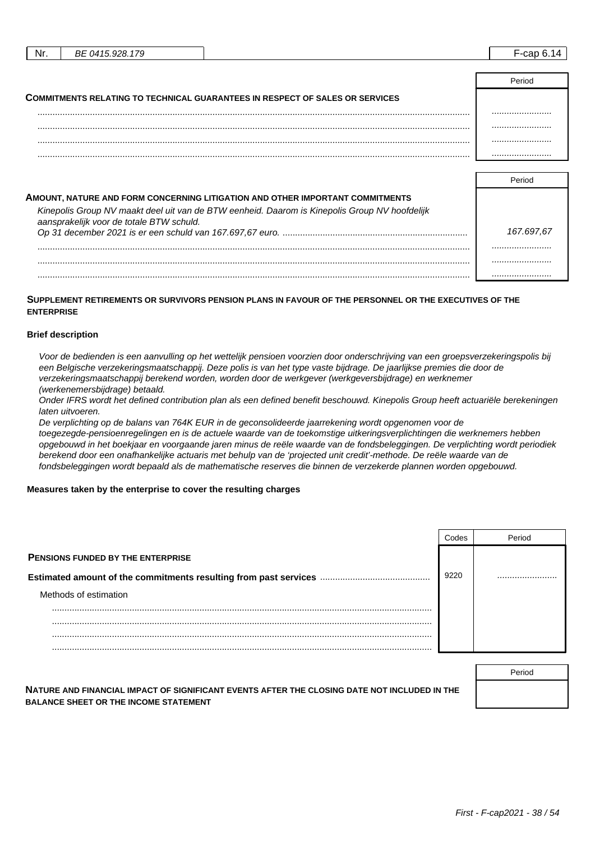| Nr. | BE 0415.928.179                          |                                                                                               | $F$ -cap 6.14 |
|-----|------------------------------------------|-----------------------------------------------------------------------------------------------|---------------|
|     |                                          |                                                                                               |               |
|     |                                          |                                                                                               | Period        |
|     |                                          | <b>COMMITMENTS RELATING TO TECHNICAL GUARANTEES IN RESPECT OF SALES OR SERVICES</b>           |               |
|     |                                          |                                                                                               |               |
|     |                                          |                                                                                               |               |
|     |                                          |                                                                                               |               |
|     |                                          |                                                                                               |               |
|     |                                          |                                                                                               |               |
|     |                                          |                                                                                               | Period        |
|     |                                          | AMOUNT, NATURE AND FORM CONCERNING LITIGATION AND OTHER IMPORTANT COMMITMENTS                 |               |
|     | aansprakelijk voor de totale BTW schuld. | Kinepolis Group NV maakt deel uit van de BTW eenheid. Daarom is Kinepolis Group NV hoofdelijk |               |

| adilispianellin vuoli de tutale DT II scrittiu. | 167.697.67 |
|-------------------------------------------------|------------|
|                                                 |            |
|                                                 |            |
|                                                 |            |

### **SUPPLEMENT RETIREMENTS OR SURVIVORS PENSION PLANS IN FAVOUR OF THE PERSONNEL OR THE EXECUTIVES OF THE ENTERPRISE**

#### **Brief description**

Voor de bedienden is een aanvulling op het wettelijk pensioen voorzien door onderschrijving van een groepsverzekeringspolis bij een Belgische verzekeringsmaatschappij. Deze polis is van het type vaste bijdrage. De jaarlijkse premies die door de verzekeringsmaatschappij berekend worden, worden door de werkgever (werkgeversbijdrage) en werknemer (werkenemersbijdrage) betaald.

Onder IFRS wordt het defined contribution plan als een defined benefit beschouwd. Kinepolis Group heeft actuariële berekeningen laten uitvoeren.

De verplichting op de balans van 764K EUR in de geconsolideerde jaarrekening wordt opgenomen voor de toegezegde-pensioenregelingen en is de actuele waarde van de toekomstige uitkeringsverplichtingen die werknemers hebben opgebouwd in het boekjaar en voorgaande jaren minus de reële waarde van de fondsbeleggingen. De verplichting wordt periodiek berekend door een onafhankelijke actuaris met behulp van de 'projected unit credit'-methode. De reële waarde van de fondsbeleggingen wordt bepaald als de mathematische reserves die binnen de verzekerde plannen worden opgebouwd.

#### **Measures taken by the enterprise to cover the resulting charges**

|                                          |      | Period |
|------------------------------------------|------|--------|
| <b>PENSIONS FUNDED BY THE ENTERPRISE</b> |      |        |
|                                          | 9220 |        |
| Methods of estimation                    |      |        |
|                                          |      |        |
|                                          |      |        |
|                                          |      |        |

| NATURE AND FINANCIAL IMPACT OF SIGNIFICANT EVENTS AFTER THE CLOSING DATE NOT INCLUDED IN THE |  |
|----------------------------------------------------------------------------------------------|--|
| <b>BALANCE SHEET OR THE INCOME STATEMENT</b>                                                 |  |

Period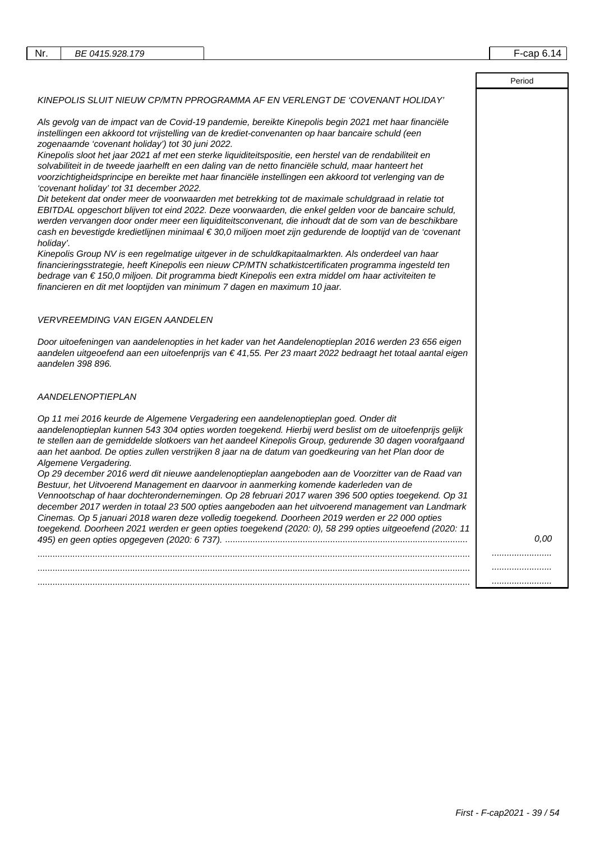$\sqrt{ }$ 

|                                                                                                                                                                                                                                                                                                                                                                                                                                                                                                                                                                                                                          | Period |
|--------------------------------------------------------------------------------------------------------------------------------------------------------------------------------------------------------------------------------------------------------------------------------------------------------------------------------------------------------------------------------------------------------------------------------------------------------------------------------------------------------------------------------------------------------------------------------------------------------------------------|--------|
| KINEPOLIS SLUIT NIEUW CP/MTN PPROGRAMMA AF EN VERLENGT DE 'COVENANT HOLIDAY'                                                                                                                                                                                                                                                                                                                                                                                                                                                                                                                                             |        |
| Als gevolg van de impact van de Covid-19 pandemie, bereikte Kinepolis begin 2021 met haar financiële<br>instellingen een akkoord tot vrijstelling van de krediet-convenanten op haar bancaire schuld (een<br>zogenaamde 'covenant holiday') tot 30 juni 2022.                                                                                                                                                                                                                                                                                                                                                            |        |
| Kinepolis sloot het jaar 2021 af met een sterke liquiditeitspositie, een herstel van de rendabiliteit en<br>solvabiliteit in de tweede jaarhelft en een daling van de netto financiële schuld, maar hanteert het<br>voorzichtigheidsprincipe en bereikte met haar financiële instellingen een akkoord tot verlenging van de<br>'covenant holiday' tot 31 december 2022.                                                                                                                                                                                                                                                  |        |
| Dit betekent dat onder meer de voorwaarden met betrekking tot de maximale schuldgraad in relatie tot<br>EBITDAL opgeschort blijven tot eind 2022. Deze voorwaarden, die enkel gelden voor de bancaire schuld,<br>werden vervangen door onder meer een liquiditeitsconvenant, die inhoudt dat de som van de beschikbare<br>cash en bevestigde kredietlijnen minimaal € 30,0 miljoen moet zijn gedurende de looptijd van de 'covenant<br>holiday'.                                                                                                                                                                         |        |
| Kinepolis Group NV is een regelmatige uitgever in de schuldkapitaalmarkten. Als onderdeel van haar<br>financieringsstrategie, heeft Kinepolis een nieuw CP/MTN schatkistcertificaten programma ingesteld ten<br>bedrage van € 150,0 miljoen. Dit programma biedt Kinepolis een extra middel om haar activiteiten te<br>financieren en dit met looptijden van minimum 7 dagen en maximum 10 jaar.                                                                                                                                                                                                                         |        |
| <b>VERVREEMDING VAN EIGEN AANDELEN</b>                                                                                                                                                                                                                                                                                                                                                                                                                                                                                                                                                                                   |        |
| Door uitoefeningen van aandelenopties in het kader van het Aandelenoptieplan 2016 werden 23 656 eigen<br>aandelen uitgeoefend aan een uitoefenprijs van € 41,55. Per 23 maart 2022 bedraagt het totaal aantal eigen<br>aandelen 398 896.                                                                                                                                                                                                                                                                                                                                                                                 |        |
| <b>AANDELENOPTIEPLAN</b>                                                                                                                                                                                                                                                                                                                                                                                                                                                                                                                                                                                                 |        |
| Op 11 mei 2016 keurde de Algemene Vergadering een aandelenoptieplan goed. Onder dit<br>aandelenoptieplan kunnen 543 304 opties worden toegekend. Hierbij werd beslist om de uitoefenprijs gelijk<br>te stellen aan de gemiddelde slotkoers van het aandeel Kinepolis Group, gedurende 30 dagen voorafgaand<br>aan het aanbod. De opties zullen verstrijken 8 jaar na de datum van goedkeuring van het Plan door de<br>Algemene Vergadering.                                                                                                                                                                              |        |
| Op 29 december 2016 werd dit nieuwe aandelenoptieplan aangeboden aan de Voorzitter van de Raad van<br>Bestuur, het Uitvoerend Management en daarvoor in aanmerking komende kaderleden van de<br>Vennootschap of haar dochterondernemingen. Op 28 februari 2017 waren 396 500 opties toegekend. Op 31<br>december 2017 werden in totaal 23 500 opties aangeboden aan het uitvoerend management van Landmark<br>Cinemas. Op 5 januari 2018 waren deze volledig toegekend. Doorheen 2019 werden er 22 000 opties<br>toegekend. Doorheen 2021 werden er geen opties toegekend (2020: 0), 58 299 opties uitgeoefend (2020: 11 |        |
|                                                                                                                                                                                                                                                                                                                                                                                                                                                                                                                                                                                                                          | 0.00   |
|                                                                                                                                                                                                                                                                                                                                                                                                                                                                                                                                                                                                                          |        |
|                                                                                                                                                                                                                                                                                                                                                                                                                                                                                                                                                                                                                          |        |
|                                                                                                                                                                                                                                                                                                                                                                                                                                                                                                                                                                                                                          |        |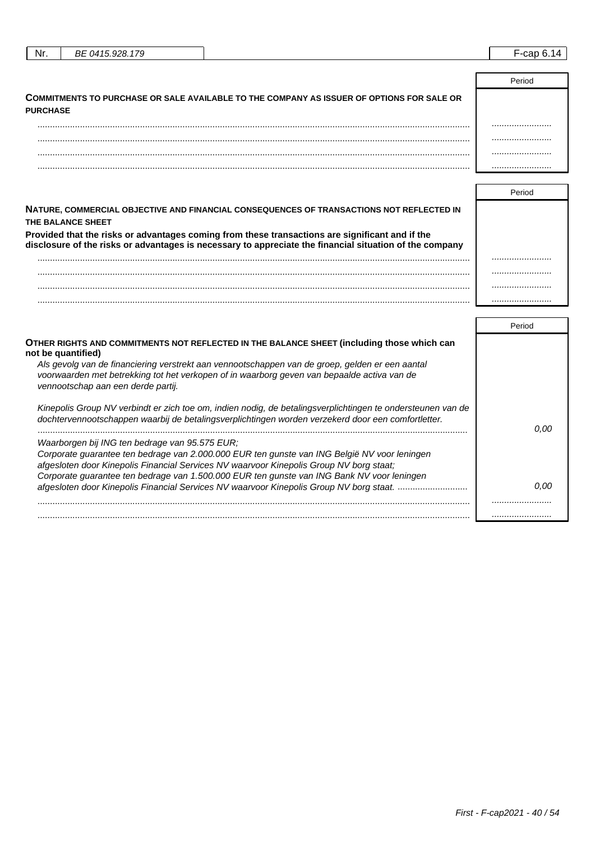| Nr. | BE 0415.928.179 | $\overline{\phantom{0}}$<br>$\sim$<br>-cap |
|-----|-----------------|--------------------------------------------|
|     |                 |                                            |
|     |                 | $\overline{\phantom{0}}$                   |

| COMMITMENTS TO PURCHASE OR SALE AVAILABLE TO THE COMPANY AS ISSUER OF OPTIONS FOR SALE OR<br><b>PURCHASE</b> |  |
|--------------------------------------------------------------------------------------------------------------|--|
|                                                                                                              |  |
|                                                                                                              |  |
|                                                                                                              |  |
|                                                                                                              |  |

| NATURE, COMMERCIAL OBJECTIVE AND FINANCIAL CONSEQUENCES OF TRANSACTIONS NOT REFLECTED IN<br><b>THE BALANCE SHEET</b>                                                                                       |  |
|------------------------------------------------------------------------------------------------------------------------------------------------------------------------------------------------------------|--|
| Provided that the risks or advantages coming from these transactions are significant and if the<br>disclosure of the risks or advantages is necessary to appreciate the financial situation of the company |  |
|                                                                                                                                                                                                            |  |
|                                                                                                                                                                                                            |  |
|                                                                                                                                                                                                            |  |
|                                                                                                                                                                                                            |  |

|                                                                                                                                                                                                                                      | Period |
|--------------------------------------------------------------------------------------------------------------------------------------------------------------------------------------------------------------------------------------|--------|
| OTHER RIGHTS AND COMMITMENTS NOT REFLECTED IN THE BALANCE SHEET (including those which can<br>not be quantified)                                                                                                                     |        |
| Als gevolg van de financiering verstrekt aan vennootschappen van de groep, gelden er een aantal<br>voorwaarden met betrekking tot het verkopen of in waarborg geven van bepaalde activa van de<br>vennootschap aan een derde partij. |        |
| Kinepolis Group NV verbindt er zich toe om, indien nodig, de betalingsverplichtingen te ondersteunen van de<br>dochtervennootschappen waarbij de betalingsverplichtingen worden verzekerd door een comfortletter.                    | 0.00   |
| Waarborgen bij ING ten bedrage van 95.575 EUR;                                                                                                                                                                                       |        |
| Corporate quarantee ten bedrage van 2.000.000 EUR ten gunste van ING België NV voor leningen<br>afgesloten door Kinepolis Financial Services NV waarvoor Kinepolis Group NV borg staat;                                              |        |
| Corporate guarantee ten bedrage van 1.500.000 EUR ten gunste van ING Bank NV voor leningen                                                                                                                                           |        |
| afgesloten door Kinepolis Financial Services NV waarvoor Kinepolis Group NV borg staat.                                                                                                                                              | n nn   |
|                                                                                                                                                                                                                                      |        |
|                                                                                                                                                                                                                                      |        |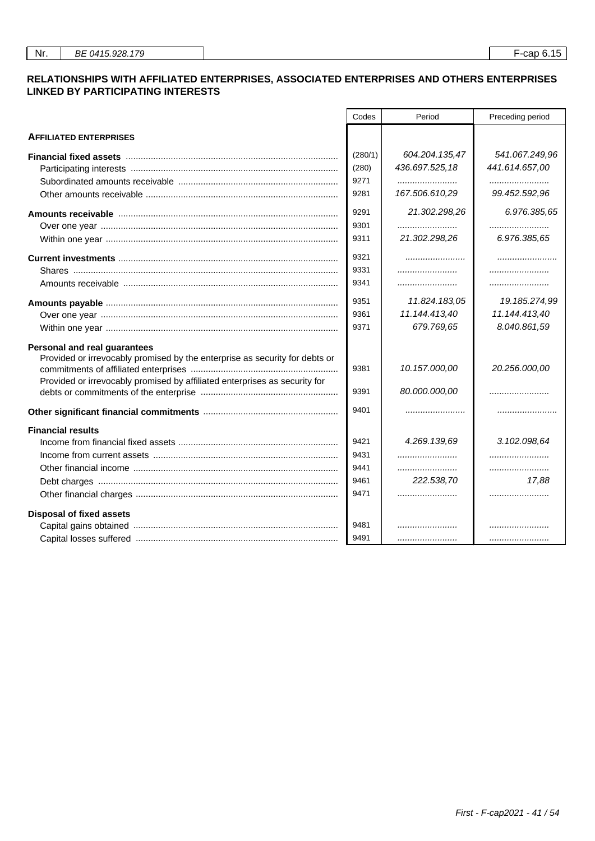## **RELATIONSHIPS WITH AFFILIATED ENTERPRISES, ASSOCIATED ENTERPRISES AND OTHERS ENTERPRISES LINKED BY PARTICIPATING INTERESTS**

|                                                                                                                | Codes   | Period         | Preceding period |
|----------------------------------------------------------------------------------------------------------------|---------|----------------|------------------|
| <b>AFFILIATED ENTERPRISES</b>                                                                                  |         |                |                  |
| Financial fixed assets measurement controlled the state of the state of the state of the state of the state of | (280/1) | 604.204.135,47 | 541.067.249,96   |
|                                                                                                                | (280)   | 436.697.525,18 | 441.614.657,00   |
|                                                                                                                | 9271    |                |                  |
|                                                                                                                | 9281    | 167.506.610,29 | 99.452.592,96    |
|                                                                                                                | 9291    | 21.302.298,26  | 6.976.385,65     |
|                                                                                                                | 9301    |                |                  |
|                                                                                                                | 9311    | 21.302.298,26  | 6.976.385,65     |
|                                                                                                                | 9321    |                |                  |
|                                                                                                                | 9331    |                |                  |
|                                                                                                                | 9341    |                |                  |
|                                                                                                                | 9351    | 11.824.183,05  | 19.185.274,99    |
|                                                                                                                | 9361    | 11.144.413,40  | 11.144.413,40    |
|                                                                                                                | 9371    | 679.769,65     | 8.040.861,59     |
| Personal and real guarantees                                                                                   |         |                |                  |
| Provided or irrevocably promised by the enterprise as security for debts or                                    |         |                |                  |
|                                                                                                                | 9381    | 10.157.000,00  | 20.256.000,00    |
| Provided or irrevocably promised by affiliated enterprises as security for                                     | 9391    | 80.000.000,00  |                  |
|                                                                                                                | 9401    |                |                  |
| <b>Financial results</b>                                                                                       |         |                |                  |
|                                                                                                                | 9421    | 4.269.139.69   | 3.102.098,64     |
|                                                                                                                | 9431    |                |                  |
|                                                                                                                | 9441    |                |                  |
|                                                                                                                | 9461    | 222.538,70     | 17,88            |
|                                                                                                                | 9471    |                |                  |
| <b>Disposal of fixed assets</b>                                                                                |         |                |                  |
|                                                                                                                | 9481    |                |                  |
|                                                                                                                | 9491    |                |                  |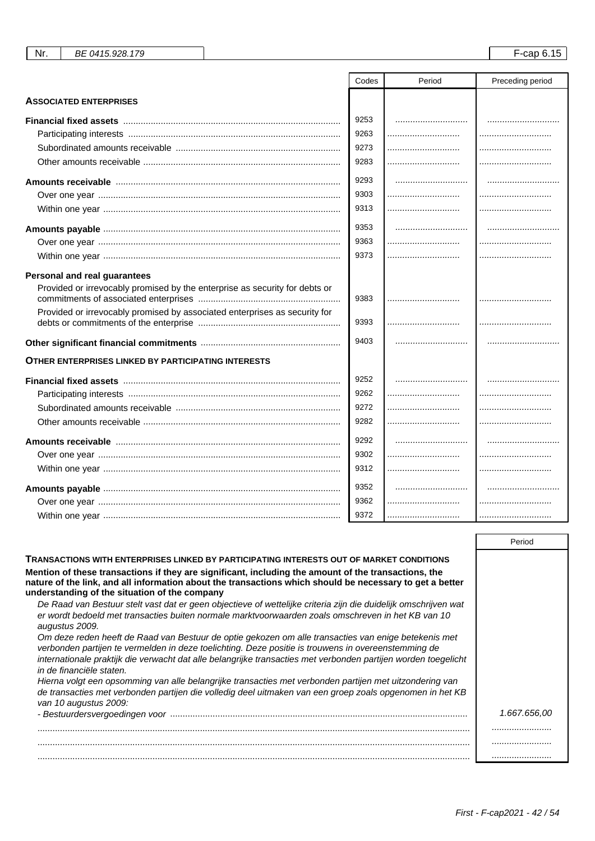|                                                                             | Codes | Period | Preceding period |
|-----------------------------------------------------------------------------|-------|--------|------------------|
| <b>ASSOCIATED ENTERPRISES</b>                                               |       |        |                  |
|                                                                             | 9253  |        |                  |
|                                                                             | 9263  |        |                  |
|                                                                             | 9273  |        |                  |
|                                                                             | 9283  |        |                  |
|                                                                             | 9293  |        |                  |
|                                                                             | 9303  |        |                  |
|                                                                             | 9313  |        |                  |
|                                                                             | 9353  |        |                  |
|                                                                             | 9363  |        |                  |
|                                                                             | 9373  |        |                  |
| <b>Personal and real guarantees</b>                                         |       |        |                  |
| Provided or irrevocably promised by the enterprise as security for debts or | 9383  |        |                  |
| Provided or irrevocably promised by associated enterprises as security for  | 9393  |        |                  |
|                                                                             | 9403  |        |                  |
| OTHER ENTERPRISES LINKED BY PARTICIPATING INTERESTS                         |       |        |                  |
|                                                                             | 9252  |        |                  |
|                                                                             | 9262  |        |                  |
|                                                                             | 9272  |        |                  |
|                                                                             | 9282  |        |                  |
| Amounts receivable …………………………………………………………………………                             | 9292  |        |                  |
|                                                                             | 9302  |        |                  |
|                                                                             | 9312  |        |                  |
|                                                                             | 9352  |        |                  |
|                                                                             | 9362  |        |                  |
|                                                                             | 9372  |        |                  |

|                                                                                                                                                                                                                                                                                                                                                           | Period       |
|-----------------------------------------------------------------------------------------------------------------------------------------------------------------------------------------------------------------------------------------------------------------------------------------------------------------------------------------------------------|--------------|
| TRANSACTIONS WITH ENTERPRISES LINKED BY PARTICIPATING INTERESTS OUT OF MARKET CONDITIONS                                                                                                                                                                                                                                                                  |              |
| Mention of these transactions if they are significant, including the amount of the transactions, the<br>nature of the link, and all information about the transactions which should be necessary to get a better<br>understanding of the situation of the company                                                                                         |              |
| De Raad van Bestuur stelt vast dat er geen objectieve of wettelijke criteria zijn die duidelijk omschrijven wat<br>er wordt bedoeld met transacties buiten normale marktyoorwaarden zoals omschreven in het KB van 10<br>augustus 2009.                                                                                                                   |              |
| Om deze reden heeft de Raad van Bestuur de optie gekozen om alle transacties van enige betekenis met<br>verbonden partijen te vermelden in deze toelichting. Deze positie is trouwens in overeenstemming de<br>internationale praktijk die verwacht dat alle belangrijke transacties met verbonden partijen worden toegelicht<br>in de financiële staten. |              |
| Hierna volgt een opsomming van alle belangrijke transacties met verbonden partijen met uitzondering van<br>de transacties met verbonden partijen die volledig deel uitmaken van een groep zoals opgenomen in het KB<br>van 10 augustus 2009:                                                                                                              |              |
|                                                                                                                                                                                                                                                                                                                                                           | 1.667.656.00 |
|                                                                                                                                                                                                                                                                                                                                                           |              |
|                                                                                                                                                                                                                                                                                                                                                           |              |
|                                                                                                                                                                                                                                                                                                                                                           |              |

First - F-cap2021 - 42 / 54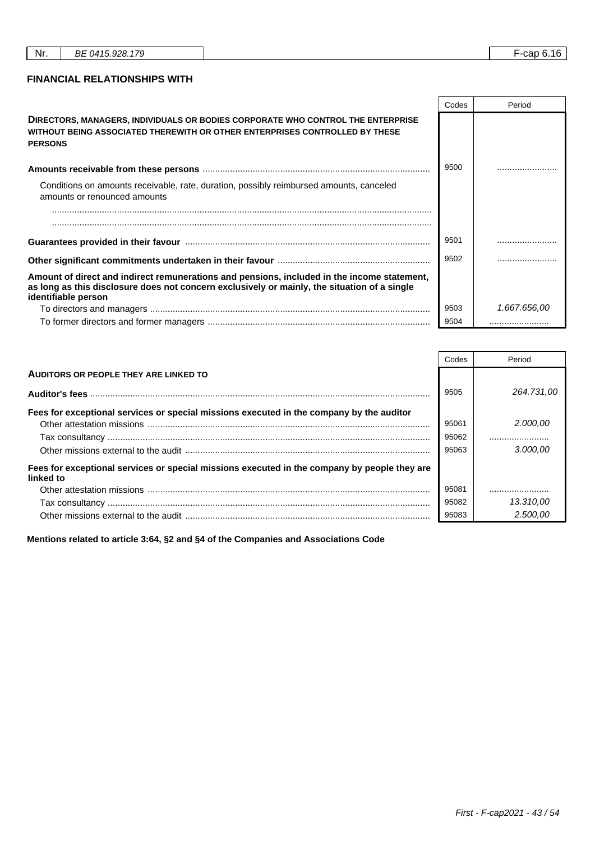┑

r

┱

## **FINANCIAL RELATIONSHIPS WITH**

|                                                                                                                                                                                                                    | Codes | Period       |
|--------------------------------------------------------------------------------------------------------------------------------------------------------------------------------------------------------------------|-------|--------------|
| DIRECTORS, MANAGERS, INDIVIDUALS OR BODIES CORPORATE WHO CONTROL THE ENTERPRISE<br>WITHOUT BEING ASSOCIATED THEREWITH OR OTHER ENTERPRISES CONTROLLED BY THESE<br><b>PERSONS</b>                                   |       |              |
|                                                                                                                                                                                                                    | 9500  |              |
| Conditions on amounts receivable, rate, duration, possibly reimbursed amounts, canceled<br>amounts or renounced amounts                                                                                            |       |              |
|                                                                                                                                                                                                                    |       |              |
|                                                                                                                                                                                                                    |       |              |
|                                                                                                                                                                                                                    | 9501  |              |
|                                                                                                                                                                                                                    | 9502  |              |
| Amount of direct and indirect remunerations and pensions, included in the income statement,<br>as long as this disclosure does not concern exclusively or mainly, the situation of a single<br>identifiable person |       |              |
|                                                                                                                                                                                                                    | 9503  | 1.667.656,00 |
|                                                                                                                                                                                                                    | 9504  |              |

|                                                                                                           | Codes | Period     |
|-----------------------------------------------------------------------------------------------------------|-------|------------|
| AUDITORS OR PEOPLE THEY ARE LINKED TO                                                                     |       |            |
|                                                                                                           | 9505  | 264.731.00 |
| Fees for exceptional services or special missions executed in the company by the auditor                  |       |            |
|                                                                                                           | 95061 | 2.000.00   |
|                                                                                                           | 95062 |            |
|                                                                                                           | 95063 | 3.000.00   |
| Fees for exceptional services or special missions executed in the company by people they are<br>linked to |       |            |
|                                                                                                           | 95081 |            |
|                                                                                                           | 95082 | 13.310,00  |
|                                                                                                           | 95083 | 2.500.00   |

**Mentions related to article 3:64, §2 and §4 of the Companies and Associations Code**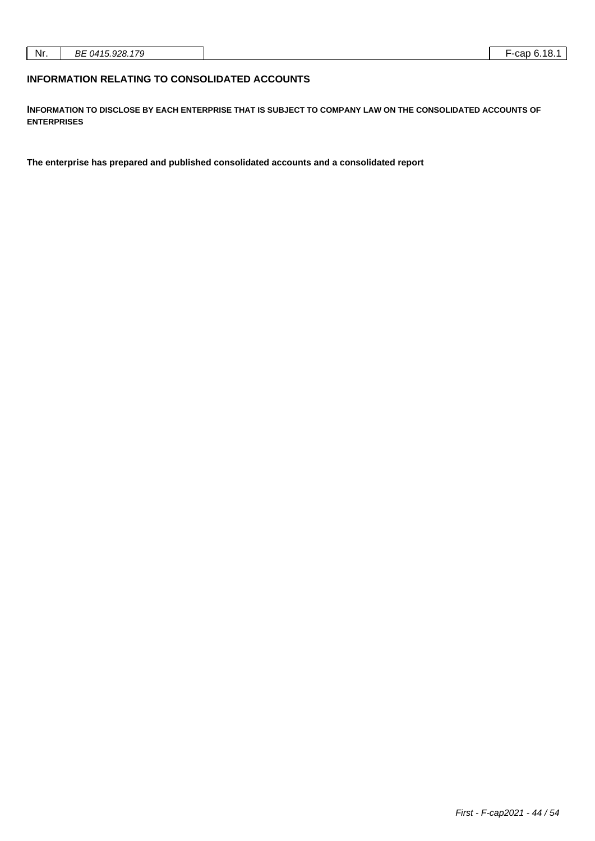## **INFORMATION RELATING TO CONSOLIDATED ACCOUNTS**

**INFORMATION TO DISCLOSE BY EACH ENTERPRISE THAT IS SUBJECT TO COMPANY LAW ON THE CONSOLIDATED ACCOUNTS OF ENTERPRISES**

**The enterprise has prepared and published consolidated accounts and a consolidated report**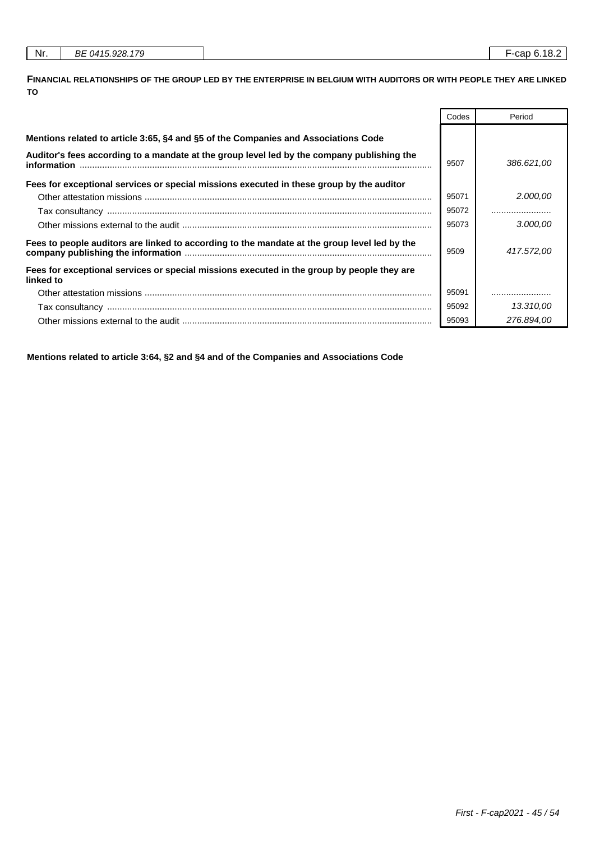| Nr. | BE 0415.928.179 |
|-----|-----------------|
|     |                 |

**FINANCIAL RELATIONSHIPS OF THE GROUP LED BY THE ENTERPRISE IN BELGIUM WITH AUDITORS OR WITH PEOPLE THEY ARE LINKED TO**

|                                                                                                                  | Codes | Period     |
|------------------------------------------------------------------------------------------------------------------|-------|------------|
| Mentions related to article 3:65, §4 and §5 of the Companies and Associations Code                               |       |            |
| Auditor's fees according to a mandate at the group level led by the company publishing the<br><i>information</i> | 9507  | 386.621,00 |
| Fees for exceptional services or special missions executed in these group by the auditor                         |       |            |
|                                                                                                                  | 95071 | 2.000,00   |
|                                                                                                                  | 95072 |            |
|                                                                                                                  | 95073 | 3.000.00   |
| Fees to people auditors are linked to according to the mandate at the group level led by the                     | 9509  | 417.572.00 |
| Fees for exceptional services or special missions executed in the group by people they are<br>linked to          |       |            |
|                                                                                                                  | 95091 |            |
|                                                                                                                  | 95092 | 13.310.00  |
|                                                                                                                  | 95093 | 276.894.00 |

**Mentions related to article 3:64, §2 and §4 and of the Companies and Associations Code**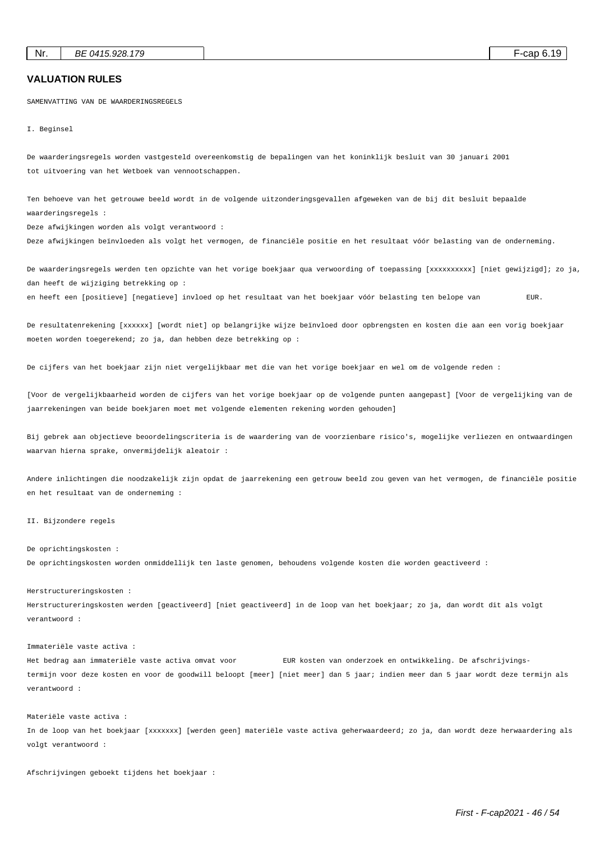## **VALUATION RULES**

SAMENVATTING VAN DE WAARDERINGSREGELS

I. Beginsel

De waarderingsregels worden vastgesteld overeenkomstig de bepalingen van het koninklijk besluit van 30 januari 2001 tot uitvoering van het Wetboek van vennootschappen.

Ten behoeve van het getrouwe beeld wordt in de volgende uitzonderingsgevallen afgeweken van de bij dit besluit bepaalde waarderingsregels :

Deze afwijkingen worden als volgt verantwoord :

Deze afwijkingen beïnvloeden als volgt het vermogen, de financiële positie en het resultaat vóór belasting van de onderneming.

De waarderingsregels werden ten opzichte van het vorige boekjaar qua verwoording of toepassing [xxxxxxxxxxx] [niet gewijzigd]; zo ja, dan heeft de wijziging betrekking op :

en heeft een [positieve] [negatieve] invloed op het resultaat van het boekjaar vóór belasting ten belope van EUR.

De resultatenrekening [xxxxxx] [wordt niet] op belangrijke wijze beïnvloed door opbrengsten en kosten die aan een vorig boekjaar moeten worden toegerekend; zo ja, dan hebben deze betrekking op :

De cijfers van het boekjaar zijn niet vergelijkbaar met die van het vorige boekjaar en wel om de volgende reden :

[Voor de vergelijkbaarheid worden de cijfers van het vorige boekjaar op de volgende punten aangepast] [Voor de vergelijking van de jaarrekeningen van beide boekjaren moet met volgende elementen rekening worden gehouden]

Bij gebrek aan objectieve beoordelingscriteria is de waardering van de voorzienbare risico's, mogelijke verliezen en ontwaardingen waarvan hierna sprake, onvermijdelijk aleatoir :

Andere inlichtingen die noodzakelijk zijn opdat de jaarrekening een getrouw beeld zou geven van het vermogen, de financiële positie en het resultaat van de onderneming :

#### II. Bijzondere regels

#### De oprichtingskosten :

De oprichtingskosten worden onmiddellijk ten laste genomen, behoudens volgende kosten die worden geactiveerd :

#### Herstructureringskosten :

Herstructureringskosten werden [geactiveerd] [niet geactiveerd] in de loop van het boekjaar; zo ja, dan wordt dit als volgt verantwoord :

#### Immateriële vaste activa :

Het bedrag aan immateriële vaste activa omvat voor EUR kosten van onderzoek en ontwikkeling. De afschrijvingstermijn voor deze kosten en voor de goodwill beloopt [meer] [niet meer] dan 5 jaar; indien meer dan 5 jaar wordt deze termijn als verantwoord :

#### Materiële vaste activa :

In de loop van het boekjaar [xxxxxxx] [werden geen] materiële vaste activa geherwaardeerd; zo ja, dan wordt deze herwaardering als volgt verantwoord :

Afschrijvingen geboekt tijdens het boekjaar :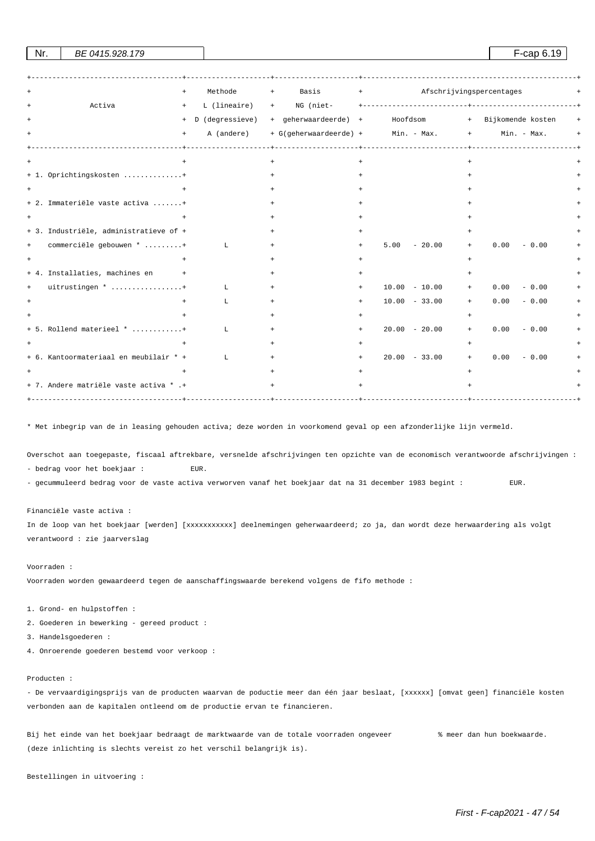| Basis + Afschrijvingspercentages<br>Methode<br>$+$<br>$+$<br>Activa<br>L (lineaire)<br>$+$<br>$+$            |     |
|--------------------------------------------------------------------------------------------------------------|-----|
|                                                                                                              |     |
| + D (degressieve) + geherwaardeerde) + Hoofdsom + Bijkomende kosten                                          | $+$ |
| + G(geherwaardeerde) + Min. - Max. +<br>A (andere)<br>Min. - Max.<br>$+$                                     |     |
| $^{+}$                                                                                                       |     |
| + 1. Oprichtingskosten +                                                                                     |     |
|                                                                                                              |     |
| + 2. Immateriële vaste activa +                                                                              |     |
| $^{+}$                                                                                                       |     |
| + 3. Industriële, administratieve of +                                                                       |     |
| commerciële gebouwen * +<br>$5.00 - 20.00$<br>0.00<br>$-0.00$<br>$\mathbf{L}$<br>$+$<br>$+$<br>$+$<br>$+$    |     |
| $\ddot{}$                                                                                                    |     |
| + 4. Installaties, machines en<br>$\sim$ $+$                                                                 |     |
| uitrustingen * +<br>$10.00 - 10.00$<br>0.00<br>$-0.00$<br>L<br>$\begin{array}{c} + \end{array}$<br>$\ddot{}$ |     |
| $10.00 - 33.00$<br>0.00<br>$-0.00$<br>L<br>$+$<br>$+$                                                        |     |
|                                                                                                              |     |
| $+ 5.$ Rollend materieel $*$<br>$20.00 - 20.00$<br>0.00<br>$-0.00$<br>L<br>$+$<br>$+$                        |     |
|                                                                                                              |     |
| + 6. Kantoormateriaal en meubilair * +<br>$20.00 - 33.00$<br>0.00<br>$-0.00$<br>L<br>$+$<br>$+$              |     |
|                                                                                                              |     |
| + 7. Andere matriële vaste activa * .+<br>$+$<br>_____________________                                       |     |

Nr. BE 0415.928.179 **F**-cap 6.19

\* Met inbegrip van de in leasing gehouden activa; deze worden in voorkomend geval op een afzonderlijke lijn vermeld.

Overschot aan toegepaste, fiscaal aftrekbare, versnelde afschrijvingen ten opzichte van de economisch verantwoorde afschrijvingen : - bedrag voor het boekjaar : EUR.

- gecummuleerd bedrag voor de vaste activa verworven vanaf het boekjaar dat na 31 december 1983 begint : EUR.

Financiële vaste activa :

In de loop van het boekjaar [werden] [xxxxxxxxxxxxxxx] deelnemingen geherwaardeerd; zo ja, dan wordt deze herwaardering als volgt verantwoord : zie jaarverslag

Voorraden :

Voorraden worden gewaardeerd tegen de aanschaffingswaarde berekend volgens de fifo methode :

1. Grond- en hulpstoffen :

2. Goederen in bewerking - gereed product :

3. Handelsgoederen :

4. Onroerende goederen bestemd voor verkoop :

#### Producten :

- De vervaardigingsprijs van de producten waarvan de poductie meer dan één jaar beslaat, [xxxxxx] [omvat geen] financiële kosten verbonden aan de kapitalen ontleend om de productie ervan te financieren.

Bij het einde van het boekjaar bedraagt de marktwaarde van de totale voorraden ongeveer % meer dan hun boekwaarde. (deze inlichting is slechts vereist zo het verschil belangrijk is).

Bestellingen in uitvoering :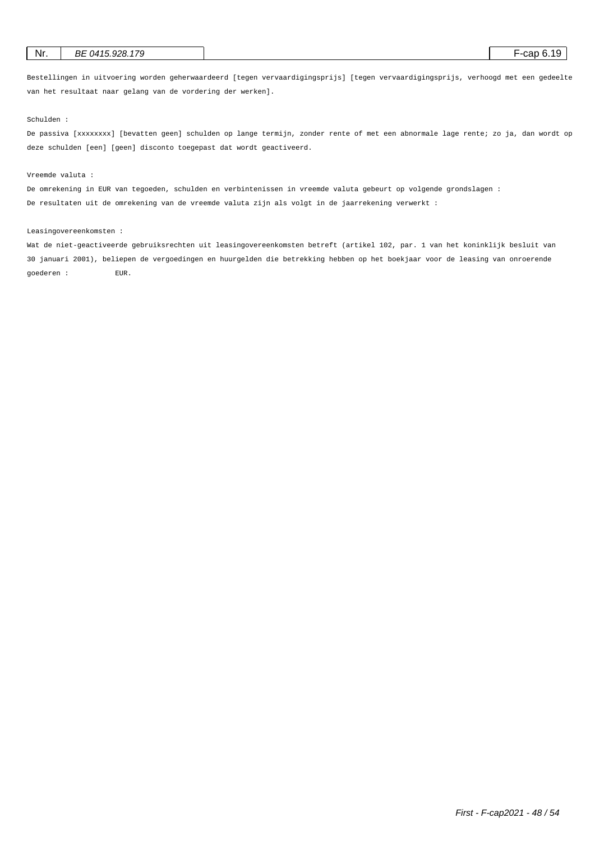| BE 0415.928.179<br>Nr. | F-cap 6.19 |
|------------------------|------------|
|------------------------|------------|

Bestellingen in uitvoering worden geherwaardeerd [tegen vervaardigingsprijs] [tegen vervaardigingsprijs, verhoogd met een gedeelte van het resultaat naar gelang van de vordering der werken].

Schulden :

De passiva [xxxxxxxx] [bevatten geen] schulden op lange termijn, zonder rente of met een abnormale lage rente; zo ja, dan wordt op deze schulden [een] [geen] disconto toegepast dat wordt geactiveerd.

#### Vreemde valuta :

De omrekening in EUR van tegoeden, schulden en verbintenissen in vreemde valuta gebeurt op volgende grondslagen :

De resultaten uit de omrekening van de vreemde valuta zijn als volgt in de jaarrekening verwerkt :

#### Leasingovereenkomsten :

Wat de niet-geactiveerde gebruiksrechten uit leasingovereenkomsten betreft (artikel 102, par. 1 van het koninklijk besluit van 30 januari 2001), beliepen de vergoedingen en huurgelden die betrekking hebben op het boekjaar voor de leasing van onroerende goederen : EUR.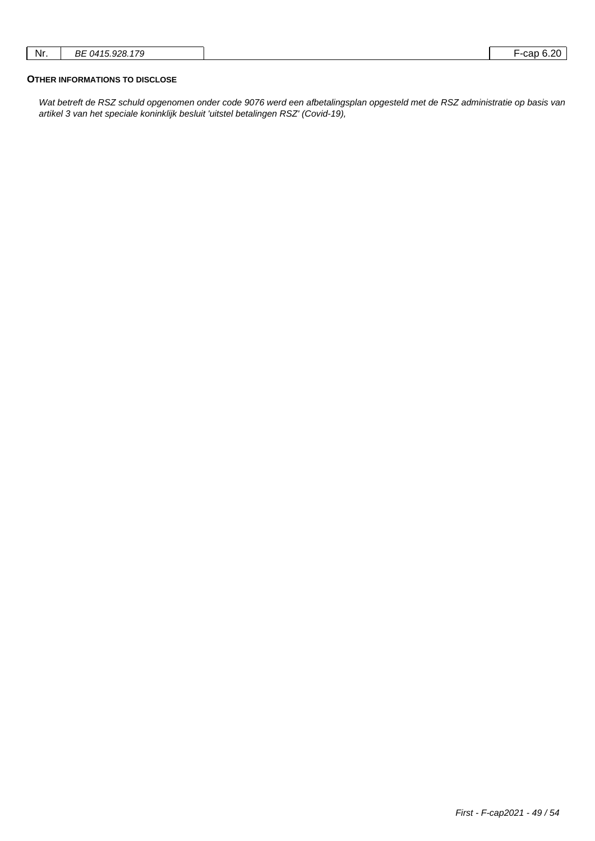| oor<br>-ual<br>◡. | 170<br>BF<br>ററ<br>147ء | Nr. |
|-------------------|-------------------------|-----|
|-------------------|-------------------------|-----|

## **OTHER INFORMATIONS TO DISCLOSE**

Wat betreft de RSZ schuld opgenomen onder code 9076 werd een afbetalingsplan opgesteld met de RSZ administratie op basis van artikel 3 van het speciale koninklijk besluit 'uitstel betalingen RSZ' (Covid-19),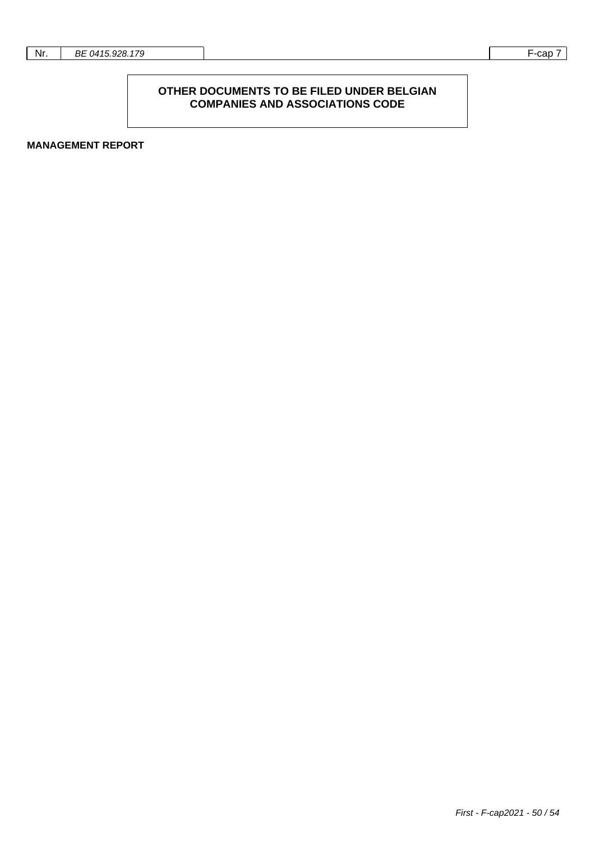## **OTHER DOCUMENTS TO BE FILED UNDER BELGIAN COMPANIES AND ASSOCIATIONS CODE**

**MANAGEMENT REPORT**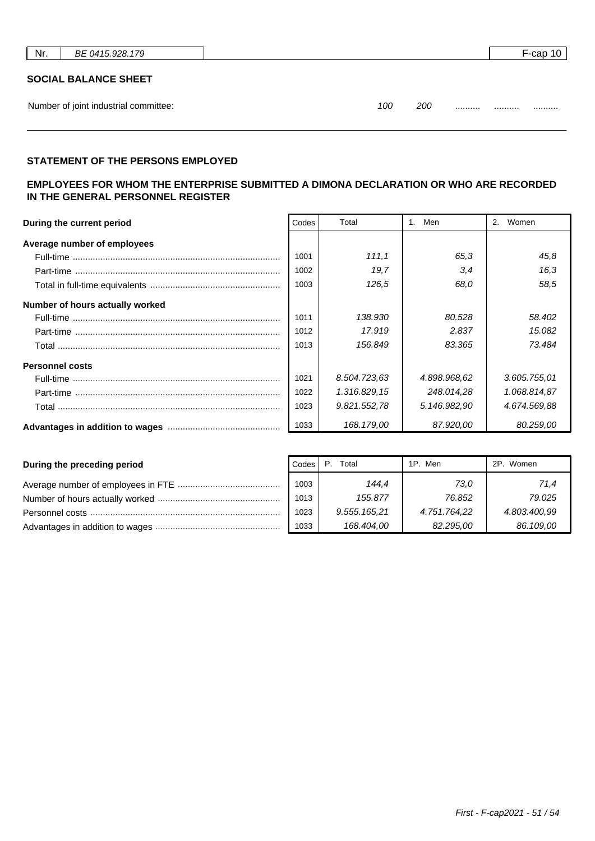| Nr. | BE 0415.928.179                       |                | F-cap 10 |
|-----|---------------------------------------|----------------|----------|
|     | <b>SOCIAL BALANCE SHEET</b>           |                |          |
|     | Number of joint industrial committee: | 200<br>100<br> | <br>     |

## **STATEMENT OF THE PERSONS EMPLOYED**

## **EMPLOYEES FOR WHOM THE ENTERPRISE SUBMITTED A DIMONA DECLARATION OR WHO ARE RECORDED IN THE GENERAL PERSONNEL REGISTER**

| Codes<br>During the current period |      | Total        | Men          | Women<br>2.  |
|------------------------------------|------|--------------|--------------|--------------|
| Average number of employees        |      |              |              |              |
|                                    | 1001 | 111.1        | 65.3         | 45,8         |
|                                    | 1002 | 19.7         | 3,4          | 16,3         |
|                                    | 1003 | 126.5        | 68.0         | 58.5         |
| Number of hours actually worked    |      |              |              |              |
|                                    | 1011 | 138.930      | 80.528       | 58.402       |
|                                    | 1012 | 17.919       | 2.837        | 15.082       |
|                                    | 1013 | 156.849      | 83.365       | 73.484       |
| <b>Personnel costs</b>             |      |              |              |              |
|                                    | 1021 | 8.504.723.63 | 4.898.968.62 | 3.605.755.01 |
|                                    | 1022 | 1.316.829,15 | 248.014,28   | 1.068.814,87 |
|                                    | 1023 | 9.821.552,78 | 5.146.982.90 | 4.674.569.88 |
|                                    | 1033 | 168.179,00   | 87.920.00    | 80.259.00    |

| During the preceding period | Codes | Total        | 1P. Men      | 2P. Women    |
|-----------------------------|-------|--------------|--------------|--------------|
|                             | 1003  | 144.4        | 73.0         | 71,4         |
|                             | 1013  | 155.877      | 76.852       | 79.025       |
|                             | 1023  | 9.555.165,21 | 4.751.764.22 | 4.803.400,99 |
|                             | 1033  | 168.404,00   | 82.295.00    | 86.109,00    |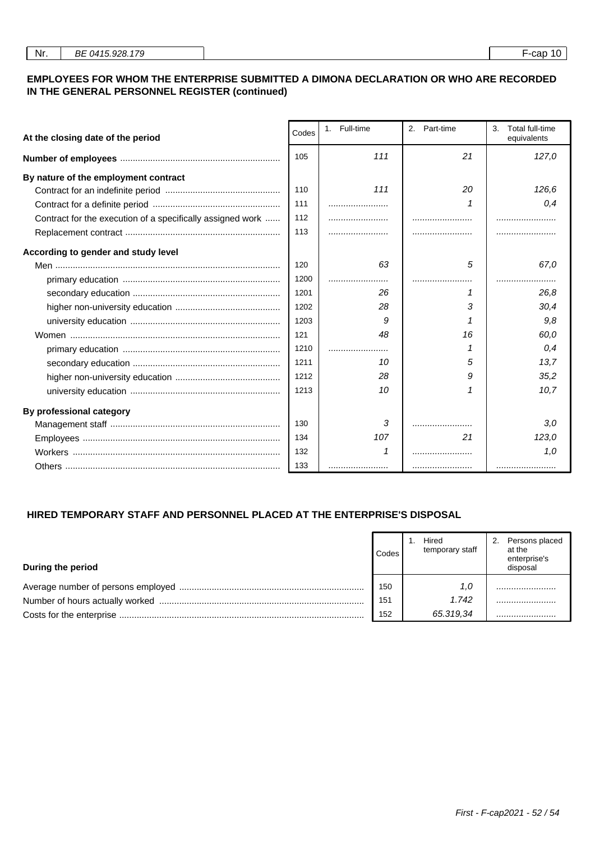## **EMPLOYEES FOR WHOM THE ENTERPRISE SUBMITTED A DIMONA DECLARATION OR WHO ARE RECORDED IN THE GENERAL PERSONNEL REGISTER (continued)**

| Codes<br>At the closing date of the period                 |      | 1. Full-time | 2.<br>Part-time | Total full-time<br>3.<br>equivalents |
|------------------------------------------------------------|------|--------------|-----------------|--------------------------------------|
|                                                            |      | 111          | 21              | 127,0                                |
| By nature of the employment contract                       |      |              |                 |                                      |
|                                                            | 110  | 111          | 20              | 126,6                                |
|                                                            | 111  |              |                 | 0.4                                  |
| Contract for the execution of a specifically assigned work | 112  |              |                 |                                      |
|                                                            | 113  |              |                 |                                      |
| According to gender and study level                        |      |              |                 |                                      |
|                                                            | 120  | 63           | 5               | 67.0                                 |
|                                                            | 1200 |              |                 |                                      |
|                                                            | 1201 | 26           |                 | 26.8                                 |
|                                                            | 1202 | 28           | 3               | 30,4                                 |
|                                                            | 1203 | g            |                 | 9,8                                  |
|                                                            | 121  | 48           | 16              | 60,0                                 |
|                                                            | 1210 |              | 1               | 0.4                                  |
|                                                            | 1211 | 10           | 5               | 13.7                                 |
|                                                            | 1212 | 28           | 9               | 35.2                                 |
|                                                            | 1213 | 10           | 1               | 10,7                                 |
| By professional category                                   |      |              |                 |                                      |
|                                                            | 130  | 3            |                 | 3,0                                  |
|                                                            | 134  | 107          | 21              | 123,0                                |
|                                                            | 132  |              |                 | 1.0                                  |
|                                                            | 133  |              |                 |                                      |

# **HIRED TEMPORARY STAFF AND PERSONNEL PLACED AT THE ENTERPRISE'S DISPOSAL**

| During the period | Codes | Hired<br>temporary staff | Persons placed<br>2.<br>at the<br>enterprise's<br>disposal |
|-------------------|-------|--------------------------|------------------------------------------------------------|
|                   | 150   | 1.0                      |                                                            |
|                   | 151   | 1.742                    |                                                            |
|                   | 152   | 65.319,34                |                                                            |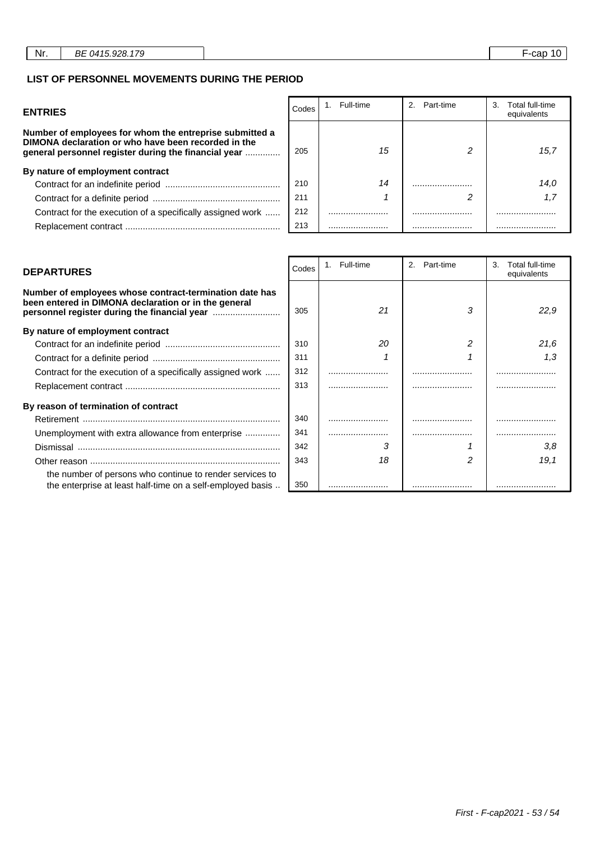## **LIST OF PERSONNEL MOVEMENTS DURING THE PERIOD**

| <b>ENTRIES</b>                                                                                                                                                         | Codes | Full-time | Part-time | Total full-time<br>3.<br>equivalents |
|------------------------------------------------------------------------------------------------------------------------------------------------------------------------|-------|-----------|-----------|--------------------------------------|
| Number of employees for whom the entreprise submitted a<br>DIMONA declaration or who have been recorded in the<br>general personnel register during the financial year | 205   | 15        |           | 15.7                                 |
| By nature of employment contract                                                                                                                                       |       |           |           |                                      |
|                                                                                                                                                                        | 210   | 14        |           | 14.0                                 |
|                                                                                                                                                                        | 211   |           |           | 1.7                                  |
| Contract for the execution of a specifically assigned work                                                                                                             | 212   |           |           |                                      |
|                                                                                                                                                                        | 213   |           |           |                                      |

| Number of employees whose contract-termination date has<br>been entered in DIMONA declaration or in the general        | 305 | 21 | 3 | 22.9 |
|------------------------------------------------------------------------------------------------------------------------|-----|----|---|------|
| By nature of employment contract                                                                                       |     |    |   |      |
|                                                                                                                        | 310 | 20 |   | 21.6 |
|                                                                                                                        | 311 |    |   | 1.3  |
| Contract for the execution of a specifically assigned work                                                             | 312 |    | . |      |
|                                                                                                                        | 313 |    |   |      |
| By reason of termination of contract                                                                                   |     |    |   |      |
|                                                                                                                        | 340 |    |   |      |
| Unemployment with extra allowance from enterprise                                                                      | 341 |    |   |      |
|                                                                                                                        | 342 | 3  |   | 3.8  |
|                                                                                                                        | 343 | 18 |   | 19,1 |
| the number of persons who continue to render services to<br>the enterprise at least half-time on a self-employed basis | 350 |    |   |      |

| <b>DEPARTURES</b>                                                                                                                                               | Codes | 1. Full-time | Part-time<br>$2^{\circ}$ | 3.<br>Total full-time<br>equivalents |
|-----------------------------------------------------------------------------------------------------------------------------------------------------------------|-------|--------------|--------------------------|--------------------------------------|
| Number of employees whose contract-termination date has<br>been entered in DIMONA declaration or in the general<br>personnel register during the financial year | 305   | 21           | 3                        | 22,9                                 |
| By nature of employment contract                                                                                                                                |       |              |                          |                                      |
|                                                                                                                                                                 | 310   | 20           |                          | 21.6                                 |
|                                                                                                                                                                 | 311   |              |                          | 1.3                                  |
| Contract for the execution of a specifically assigned work                                                                                                      | 312   |              |                          |                                      |
|                                                                                                                                                                 | 313   |              |                          |                                      |
| By reason of termination of contract                                                                                                                            |       |              |                          |                                      |
|                                                                                                                                                                 | 340   |              |                          |                                      |
| Unemployment with extra allowance from enterprise                                                                                                               | 341   |              |                          |                                      |
|                                                                                                                                                                 | 342   | 3            |                          | 3,8                                  |
|                                                                                                                                                                 | 343   | 18           |                          | 19,1                                 |
| the number of persons who continue to render services to                                                                                                        |       |              |                          |                                      |
| the enterprise at least half-time on a self-employed basis                                                                                                      | 350   |              |                          |                                      |